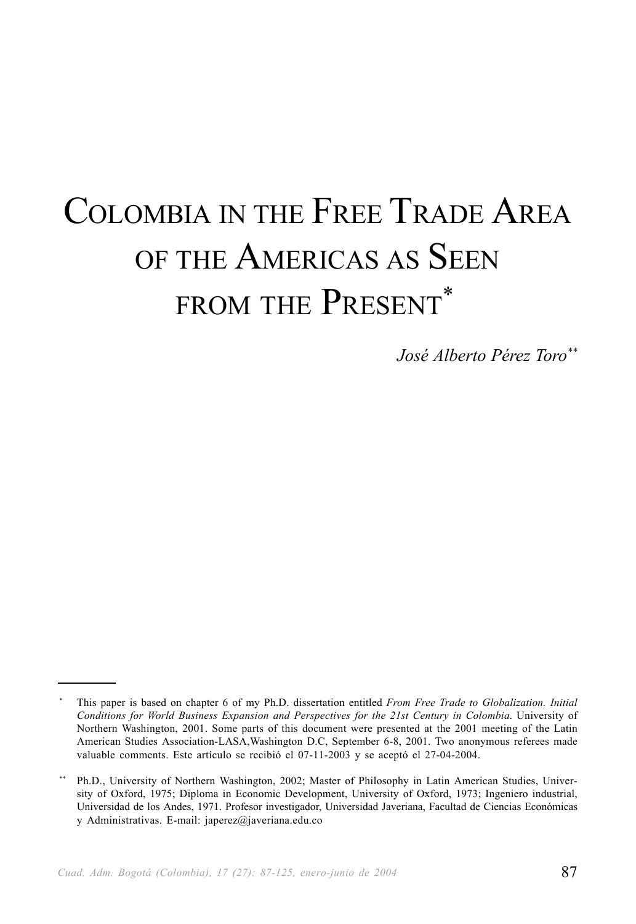# COLOMBIA IN THE FREE TRADE AREA OF THE AMERICAS AS SEEN FROM THE PRESENT\*

*José Alberto Pérez Toro\*\**

<sup>\*</sup> This paper is based on chapter 6 of my Ph.D. dissertation entitled *From Free Trade to Globalization. Initial Conditions for World Business Expansion and Perspectives for the 21st Century in Colombia*. University of Northern Washington, 2001. Some parts of this document were presented at the 2001 meeting of the Latin American Studies Association-LASA,Washington D.C, September 6-8, 2001. Two anonymous referees made valuable comments. Este artículo se recibió el 07-11-2003 y se aceptó el 27-04-2004.

Ph.D., University of Northern Washington, 2002; Master of Philosophy in Latin American Studies, University of Oxford, 1975; Diploma in Economic Development, University of Oxford, 1973; Ingeniero industrial, Universidad de los Andes, 1971. Profesor investigador, Universidad Javeriana, Facultad de Ciencias Económicas y Administrativas. E-mail: japerez@javeriana.edu.co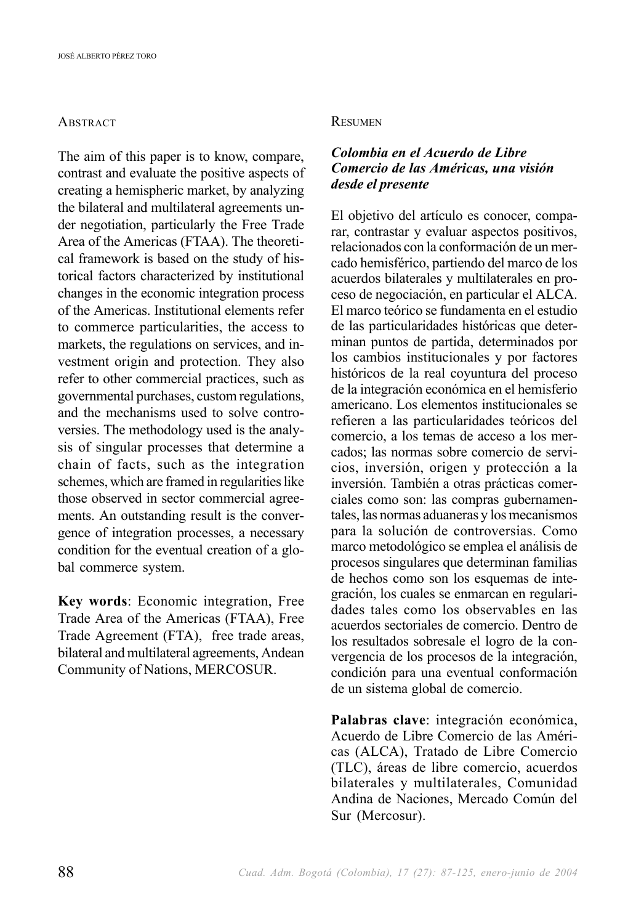#### **ABSTRACT**

The aim of this paper is to know, compare, contrast and evaluate the positive aspects of creating a hemispheric market, by analyzing the bilateral and multilateral agreements under negotiation, particularly the Free Trade Area of the Americas (FTAA). The theoretical framework is based on the study of historical factors characterized by institutional changes in the economic integration process of the Americas. Institutional elements refer to commerce particularities, the access to markets, the regulations on services, and investment origin and protection. They also refer to other commercial practices, such as governmental purchases, custom regulations, and the mechanisms used to solve controversies. The methodology used is the analysis of singular processes that determine a chain of facts, such as the integration schemes, which are framed in regularities like those observed in sector commercial agreements. An outstanding result is the convergence of integration processes, a necessary condition for the eventual creation of a global commerce system.

**Key words**: Economic integration, Free Trade Area of the Americas (FTAA), Free Trade Agreement (FTA), free trade areas, bilateral and multilateral agreements, Andean Community of Nations, MERCOSUR.

#### **RESUMEN**

#### *Colombia en el Acuerdo de Libre Comercio de las Américas, una visión desde el presente*

El objetivo del artículo es conocer, comparar, contrastar y evaluar aspectos positivos, relacionados con la conformación de un mercado hemisférico, partiendo del marco de los acuerdos bilaterales y multilaterales en proceso de negociación, en particular el ALCA. El marco teórico se fundamenta en el estudio de las particularidades históricas que determinan puntos de partida, determinados por los cambios institucionales y por factores históricos de la real coyuntura del proceso de la integración económica en el hemisferio americano. Los elementos institucionales se refieren a las particularidades teóricos del comercio, a los temas de acceso a los mercados; las normas sobre comercio de servicios, inversión, origen y protección a la inversión. También a otras prácticas comerciales como son: las compras gubernamentales, las normas aduaneras y los mecanismos para la solución de controversias. Como marco metodológico se emplea el análisis de procesos singulares que determinan familias de hechos como son los esquemas de integración, los cuales se enmarcan en regularidades tales como los observables en las acuerdos sectoriales de comercio. Dentro de los resultados sobresale el logro de la convergencia de los procesos de la integración, condición para una eventual conformación de un sistema global de comercio.

**Palabras clave**: integración económica, Acuerdo de Libre Comercio de las Américas (ALCA), Tratado de Libre Comercio (TLC), áreas de libre comercio, acuerdos bilaterales y multilaterales, Comunidad Andina de Naciones, Mercado Común del Sur (Mercosur).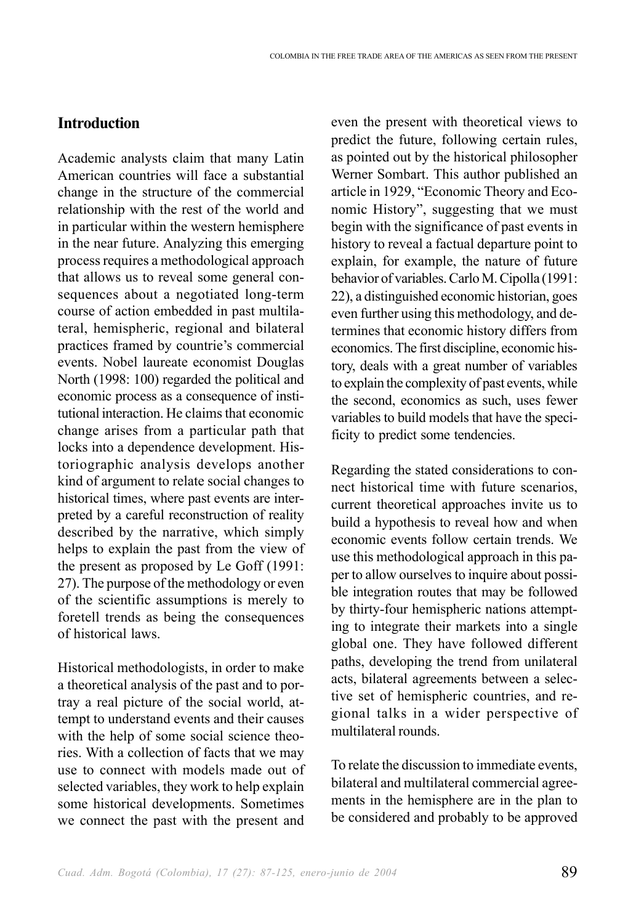#### **Introduction**

Academic analysts claim that many Latin American countries will face a substantial change in the structure of the commercial relationship with the rest of the world and in particular within the western hemisphere in the near future. Analyzing this emerging process requires a methodological approach that allows us to reveal some general consequences about a negotiated long-term course of action embedded in past multilateral, hemispheric, regional and bilateral practices framed by countrie's commercial events. Nobel laureate economist Douglas North (1998: 100) regarded the political and economic process as a consequence of institutional interaction. He claims that economic change arises from a particular path that locks into a dependence development. Historiographic analysis develops another kind of argument to relate social changes to historical times, where past events are interpreted by a careful reconstruction of reality described by the narrative, which simply helps to explain the past from the view of the present as proposed by Le Goff (1991: 27). The purpose of the methodology or even of the scientific assumptions is merely to foretell trends as being the consequences of historical laws.

Historical methodologists, in order to make a theoretical analysis of the past and to portray a real picture of the social world, attempt to understand events and their causes with the help of some social science theories. With a collection of facts that we may use to connect with models made out of selected variables, they work to help explain some historical developments. Sometimes we connect the past with the present and even the present with theoretical views to predict the future, following certain rules, as pointed out by the historical philosopher Werner Sombart. This author published an article in 1929, "Economic Theory and Economic History", suggesting that we must begin with the significance of past events in history to reveal a factual departure point to explain, for example, the nature of future behavior of variables. Carlo M. Cipolla (1991: 22), a distinguished economic historian, goes even further using this methodology, and determines that economic history differs from economics. The first discipline, economic history, deals with a great number of variables to explain the complexity of past events, while the second, economics as such, uses fewer variables to build models that have the specificity to predict some tendencies.

Regarding the stated considerations to connect historical time with future scenarios, current theoretical approaches invite us to build a hypothesis to reveal how and when economic events follow certain trends. We use this methodological approach in this paper to allow ourselves to inquire about possible integration routes that may be followed by thirty-four hemispheric nations attempting to integrate their markets into a single global one. They have followed different paths, developing the trend from unilateral acts, bilateral agreements between a selective set of hemispheric countries, and regional talks in a wider perspective of multilateral rounds.

To relate the discussion to immediate events, bilateral and multilateral commercial agreements in the hemisphere are in the plan to be considered and probably to be approved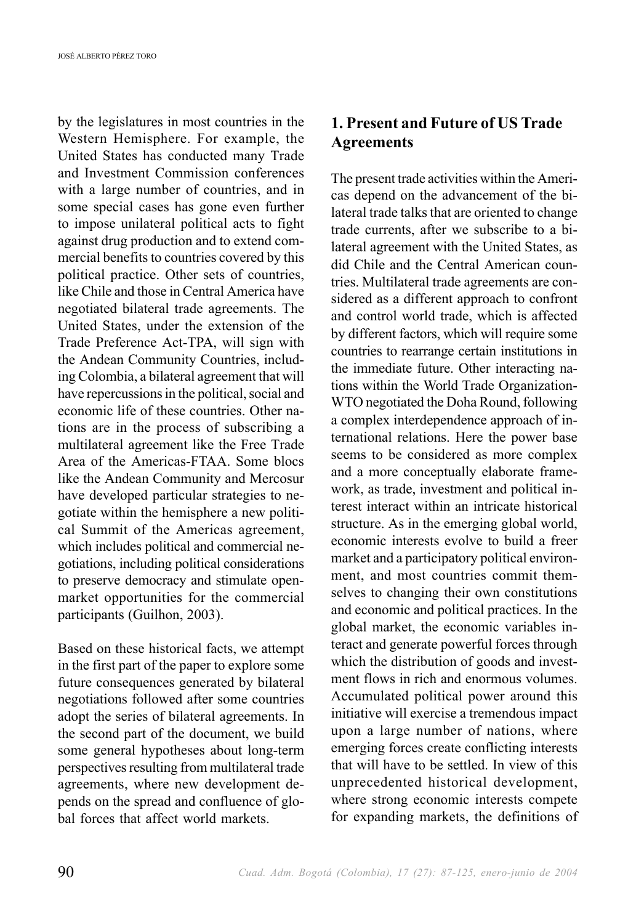by the legislatures in most countries in the Western Hemisphere. For example, the United States has conducted many Trade and Investment Commission conferences with a large number of countries, and in some special cases has gone even further to impose unilateral political acts to fight against drug production and to extend commercial benefits to countries covered by this political practice. Other sets of countries, like Chile and those in Central America have negotiated bilateral trade agreements. The United States, under the extension of the Trade Preference Act-TPA, will sign with the Andean Community Countries, including Colombia, a bilateral agreement that will have repercussions in the political, social and economic life of these countries. Other nations are in the process of subscribing a multilateral agreement like the Free Trade Area of the Americas-FTAA. Some blocs like the Andean Community and Mercosur have developed particular strategies to negotiate within the hemisphere a new political Summit of the Americas agreement, which includes political and commercial negotiations, including political considerations to preserve democracy and stimulate openmarket opportunities for the commercial participants (Guilhon, 2003).

Based on these historical facts, we attempt in the first part of the paper to explore some future consequences generated by bilateral negotiations followed after some countries adopt the series of bilateral agreements. In the second part of the document, we build some general hypotheses about long-term perspectives resulting from multilateral trade agreements, where new development depends on the spread and confluence of global forces that affect world markets.

# **1. Present and Future of US Trade Agreements**

The present trade activities within the Americas depend on the advancement of the bilateral trade talks that are oriented to change trade currents, after we subscribe to a bilateral agreement with the United States, as did Chile and the Central American countries. Multilateral trade agreements are considered as a different approach to confront and control world trade, which is affected by different factors, which will require some countries to rearrange certain institutions in the immediate future. Other interacting nations within the World Trade Organization-WTO negotiated the Doha Round, following a complex interdependence approach of international relations. Here the power base seems to be considered as more complex and a more conceptually elaborate framework, as trade, investment and political interest interact within an intricate historical structure. As in the emerging global world, economic interests evolve to build a freer market and a participatory political environment, and most countries commit themselves to changing their own constitutions and economic and political practices. In the global market, the economic variables interact and generate powerful forces through which the distribution of goods and investment flows in rich and enormous volumes. Accumulated political power around this initiative will exercise a tremendous impact upon a large number of nations, where emerging forces create conflicting interests that will have to be settled. In view of this unprecedented historical development, where strong economic interests compete for expanding markets, the definitions of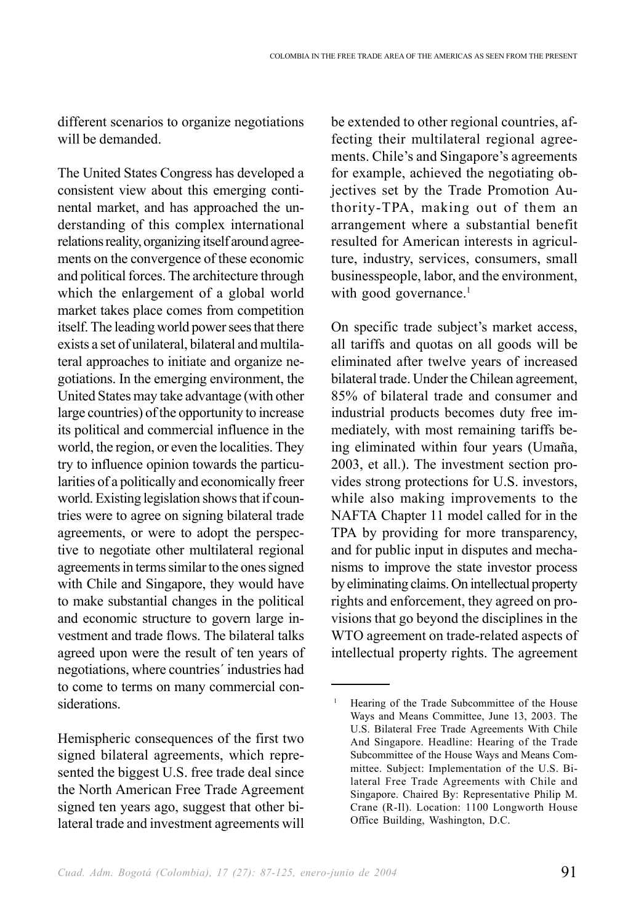different scenarios to organize negotiations will be demanded.

The United States Congress has developed a consistent view about this emerging continental market, and has approached the understanding of this complex international relations reality, organizing itself around agreements on the convergence of these economic and political forces. The architecture through which the enlargement of a global world market takes place comes from competition itself. The leading world power sees that there exists a set of unilateral, bilateral and multilateral approaches to initiate and organize negotiations. In the emerging environment, the United States may take advantage (with other large countries) of the opportunity to increase its political and commercial influence in the world, the region, or even the localities. They try to influence opinion towards the particularities of a politically and economically freer world. Existing legislation shows that if countries were to agree on signing bilateral trade agreements, or were to adopt the perspective to negotiate other multilateral regional agreements in terms similar to the ones signed with Chile and Singapore, they would have to make substantial changes in the political and economic structure to govern large investment and trade flows. The bilateral talks agreed upon were the result of ten years of negotiations, where countries´ industries had to come to terms on many commercial considerations.

Hemispheric consequences of the first two signed bilateral agreements, which represented the biggest U.S. free trade deal since the North American Free Trade Agreement signed ten years ago, suggest that other bilateral trade and investment agreements will be extended to other regional countries, affecting their multilateral regional agreements. Chile's and Singapore's agreements for example, achieved the negotiating objectives set by the Trade Promotion Authority-TPA, making out of them an arrangement where a substantial benefit resulted for American interests in agriculture, industry, services, consumers, small businesspeople, labor, and the environment, with good governance.<sup>1</sup>

On specific trade subject's market access, all tariffs and quotas on all goods will be eliminated after twelve years of increased bilateral trade. Under the Chilean agreement, 85% of bilateral trade and consumer and industrial products becomes duty free immediately, with most remaining tariffs being eliminated within four years (Umaña, 2003, et all.). The investment section provides strong protections for U.S. investors, while also making improvements to the NAFTA Chapter 11 model called for in the TPA by providing for more transparency, and for public input in disputes and mechanisms to improve the state investor process by eliminating claims. On intellectual property rights and enforcement, they agreed on provisions that go beyond the disciplines in the WTO agreement on trade-related aspects of intellectual property rights. The agreement

<sup>&</sup>lt;sup>1</sup> Hearing of the Trade Subcommittee of the House Ways and Means Committee, June 13, 2003. The U.S. Bilateral Free Trade Agreements With Chile And Singapore. Headline: Hearing of the Trade Subcommittee of the House Ways and Means Committee. Subject: Implementation of the U.S. Bilateral Free Trade Agreements with Chile and Singapore. Chaired By: Representative Philip M. Crane (R-Il). Location: 1100 Longworth House Office Building, Washington, D.C.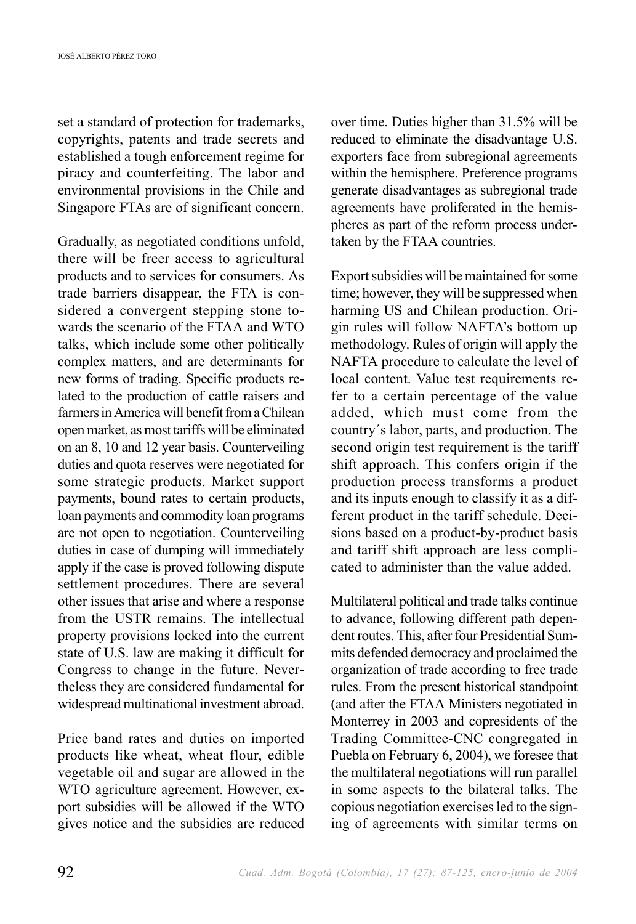set a standard of protection for trademarks, copyrights, patents and trade secrets and established a tough enforcement regime for piracy and counterfeiting. The labor and environmental provisions in the Chile and Singapore FTAs are of significant concern.

Gradually, as negotiated conditions unfold, there will be freer access to agricultural products and to services for consumers. As trade barriers disappear, the FTA is considered a convergent stepping stone towards the scenario of the FTAA and WTO talks, which include some other politically complex matters, and are determinants for new forms of trading. Specific products related to the production of cattle raisers and farmers in America will benefit from a Chilean open market, as most tariffs will be eliminated on an 8, 10 and 12 year basis. Counterveiling duties and quota reserves were negotiated for some strategic products. Market support payments, bound rates to certain products, loan payments and commodity loan programs are not open to negotiation. Counterveiling duties in case of dumping will immediately apply if the case is proved following dispute settlement procedures. There are several other issues that arise and where a response from the USTR remains. The intellectual property provisions locked into the current state of U.S. law are making it difficult for Congress to change in the future. Nevertheless they are considered fundamental for widespread multinational investment abroad.

Price band rates and duties on imported products like wheat, wheat flour, edible vegetable oil and sugar are allowed in the WTO agriculture agreement. However, export subsidies will be allowed if the WTO gives notice and the subsidies are reduced over time. Duties higher than 31.5% will be reduced to eliminate the disadvantage U.S. exporters face from subregional agreements within the hemisphere. Preference programs generate disadvantages as subregional trade agreements have proliferated in the hemispheres as part of the reform process undertaken by the FTAA countries.

Export subsidies will be maintained for some time; however, they will be suppressed when harming US and Chilean production. Origin rules will follow NAFTA's bottom up methodology. Rules of origin will apply the NAFTA procedure to calculate the level of local content. Value test requirements refer to a certain percentage of the value added, which must come from the country´s labor, parts, and production. The second origin test requirement is the tariff shift approach. This confers origin if the production process transforms a product and its inputs enough to classify it as a different product in the tariff schedule. Decisions based on a product-by-product basis and tariff shift approach are less complicated to administer than the value added.

Multilateral political and trade talks continue to advance, following different path dependent routes. This, after four Presidential Summits defended democracy and proclaimed the organization of trade according to free trade rules. From the present historical standpoint (and after the FTAA Ministers negotiated in Monterrey in 2003 and copresidents of the Trading Committee-CNC congregated in Puebla on February 6, 2004), we foresee that the multilateral negotiations will run parallel in some aspects to the bilateral talks. The copious negotiation exercises led to the signing of agreements with similar terms on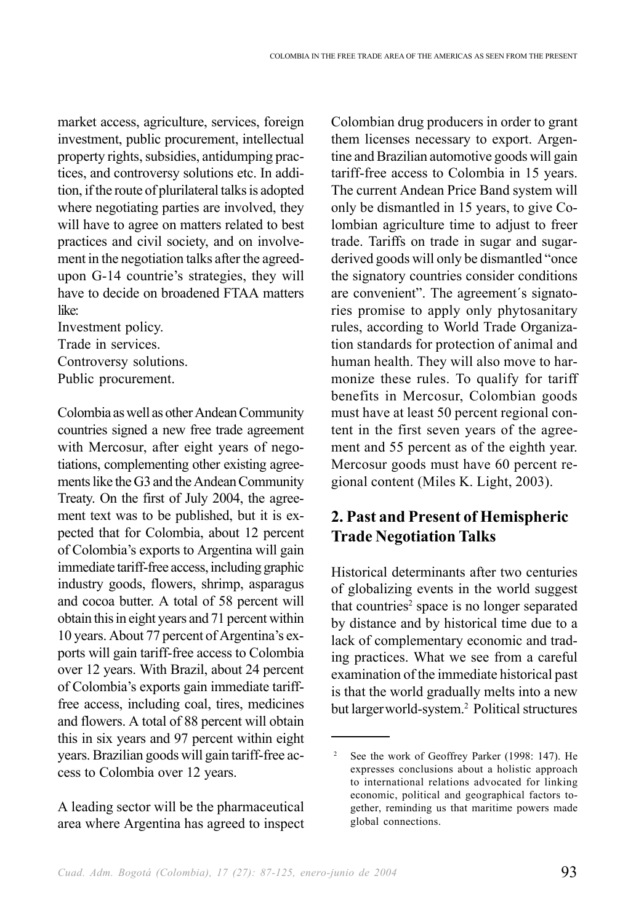market access, agriculture, services, foreign investment, public procurement, intellectual property rights, subsidies, antidumping practices, and controversy solutions etc. In addition, if the route of plurilateral talks is adopted where negotiating parties are involved, they will have to agree on matters related to best practices and civil society, and on involvement in the negotiation talks after the agreedupon G-14 countrie's strategies, they will have to decide on broadened FTAA matters like:

Investment policy. Trade in services.

Controversy solutions.

Public procurement.

Colombia as well as other Andean Community countries signed a new free trade agreement with Mercosur, after eight years of negotiations, complementing other existing agreements like the G3 and the Andean Community Treaty. On the first of July 2004, the agreement text was to be published, but it is expected that for Colombia, about 12 percent of Colombia's exports to Argentina will gain immediate tariff-free access, including graphic industry goods, flowers, shrimp, asparagus and cocoa butter. A total of 58 percent will obtain this in eight years and 71 percent within 10 years. About 77 percent of Argentina's exports will gain tariff-free access to Colombia over 12 years. With Brazil, about 24 percent of Colombia's exports gain immediate tarifffree access, including coal, tires, medicines and flowers. A total of 88 percent will obtain this in six years and 97 percent within eight years. Brazilian goods will gain tariff-free access to Colombia over 12 years.

A leading sector will be the pharmaceutical area where Argentina has agreed to inspect Colombian drug producers in order to grant them licenses necessary to export. Argentine and Brazilian automotive goods will gain tariff-free access to Colombia in 15 years. The current Andean Price Band system will only be dismantled in 15 years, to give Colombian agriculture time to adjust to freer trade. Tariffs on trade in sugar and sugarderived goods will only be dismantled "once the signatory countries consider conditions are convenient". The agreement´s signatories promise to apply only phytosanitary rules, according to World Trade Organization standards for protection of animal and human health. They will also move to harmonize these rules. To qualify for tariff benefits in Mercosur, Colombian goods must have at least 50 percent regional content in the first seven years of the agreement and 55 percent as of the eighth year. Mercosur goods must have 60 percent regional content (Miles K. Light, 2003).

# **2. Past and Present of Hemispheric Trade Negotiation Talks**

Historical determinants after two centuries of globalizing events in the world suggest that countries<sup>2</sup> space is no longer separated by distance and by historical time due to a lack of complementary economic and trading practices. What we see from a careful examination of the immediate historical past is that the world gradually melts into a new but largerworld-system.2 Political structures

See the work of Geoffrey Parker (1998: 147). He expresses conclusions about a holistic approach to international relations advocated for linking economic, political and geographical factors together, reminding us that maritime powers made global connections.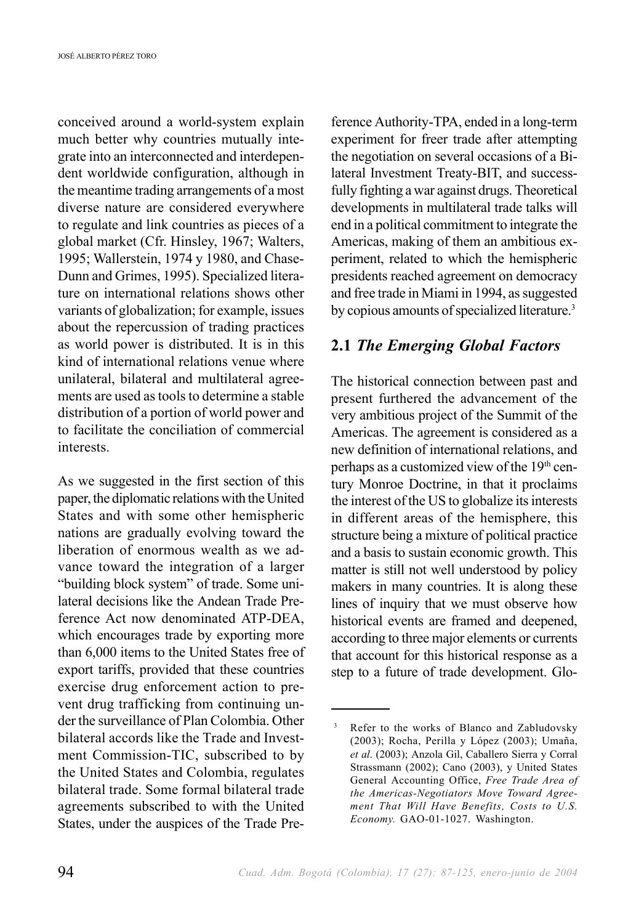conceived around a world-system explain much better why countries mutually integrate into an interconnected and interdependent worldwide configuration, although in the meantime trading arrangements of a most diverse nature are considered everywhere to regulate and link countries as pieces of a global market (Cfr. Hinsley, 1967; Walters, 1995; Wallerstein, 1974 y 1980, and Chase-Dunn and Grimes, 1995). Specialized literature on international relations shows other variants of globalization; for example, issues about the repercussion of trading practices as world power is distributed. It is in this kind of international relations venue where unilateral, bilateral and multilateral agreements are used as tools to determine a stable distribution of a portion of world power and to facilitate the conciliation of commercial interests.

As we suggested in the first section of this paper, the diplomatic relations with the United States and with some other hemispheric nations are gradually evolving toward the liberation of enormous wealth as we advance toward the integration of a larger "building block system" of trade. Some unilateral decisions like the Andean Trade Preference Act now denominated ATP-DEA, which encourages trade by exporting more than 6,000 items to the United States free of export tariffs, provided that these countries exercise drug enforcement action to prevent drug trafficking from continuing under the surveillance of Plan Colombia. Other bilateral accords like the Trade and Investment Commission-TIC, subscribed to by the United States and Colombia, regulates bilateral trade. Some formal bilateral trade agreements subscribed to with the United States, under the auspices of the Trade Preference Authority-TPA, ended in a long-term experiment for freer trade after attempting the negotiation on several occasions of a Bilateral Investment Treaty-BIT, and successfully fighting a war against drugs. Theoretical developments in multilateral trade talks will end in a political commitment to integrate the Americas, making of them an ambitious experiment, related to which the hemispheric presidents reached agreement on democracy and free trade in Miami in 1994, as suggested by copious amounts of specialized literature.3

## **2.1** *The Emerging Global Factors*

The historical connection between past and present furthered the advancement of the very ambitious project of the Summit of the Americas. The agreement is considered as a new definition of international relations, and perhaps as a customized view of the 19<sup>th</sup> century Monroe Doctrine, in that it proclaims the interest of the US to globalize its interests in different areas of the hemisphere, this structure being a mixture of political practice and a basis to sustain economic growth. This matter is still not well understood by policy makers in many countries. It is along these lines of inquiry that we must observe how historical events are framed and deepened, according to three major elements or currents that account for this historical response as a step to a future of trade development. Glo-

Refer to the works of Blanco and Zabludovsky (2003); Rocha, Perilla y López (2003); Umaña, *et al*. (2003); Anzola Gil, Caballero Sierra y Corral Strassmann (2002); Cano (2003), y United States General Accounting Office, *Free Trade Area of the Americas-Negotiators Move Toward Agreement That Will Have Benefits, Costs to U.S. Economy.* GAO-01-1027. Washington.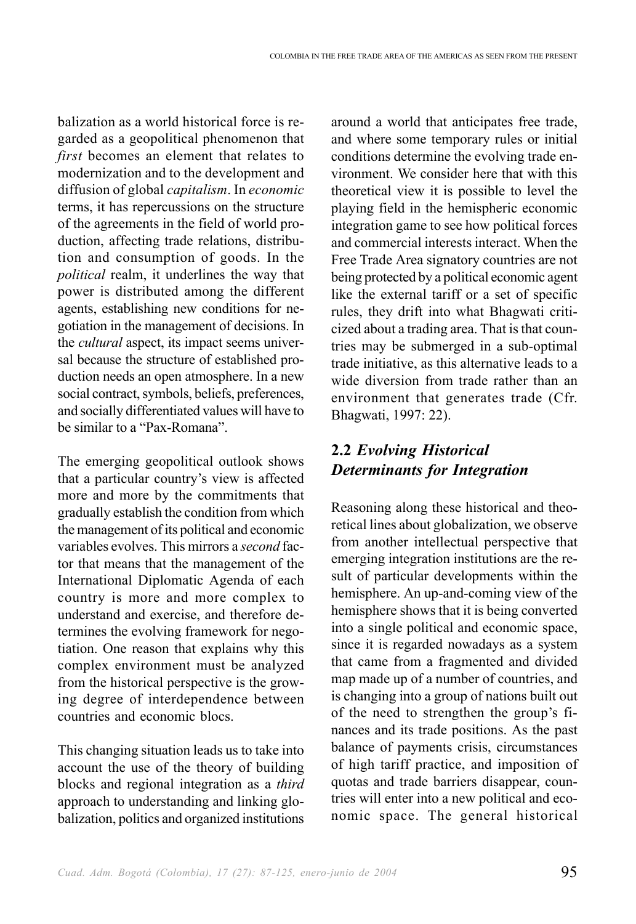balization as a world historical force is regarded as a geopolitical phenomenon that *first* becomes an element that relates to modernization and to the development and diffusion of global *capitalism*. In *economic* terms, it has repercussions on the structure of the agreements in the field of world production, affecting trade relations, distribution and consumption of goods. In the *political* realm, it underlines the way that power is distributed among the different agents, establishing new conditions for negotiation in the management of decisions. In the *cultural* aspect, its impact seems universal because the structure of established production needs an open atmosphere. In a new social contract, symbols, beliefs, preferences, and socially differentiated values will have to be similar to a "Pax-Romana".

The emerging geopolitical outlook shows that a particular country's view is affected more and more by the commitments that gradually establish the condition from which the management of its political and economic variables evolves. This mirrors a *second* factor that means that the management of the International Diplomatic Agenda of each country is more and more complex to understand and exercise, and therefore determines the evolving framework for negotiation. One reason that explains why this complex environment must be analyzed from the historical perspective is the growing degree of interdependence between countries and economic blocs.

This changing situation leads us to take into account the use of the theory of building blocks and regional integration as a *third* approach to understanding and linking globalization, politics and organized institutions around a world that anticipates free trade, and where some temporary rules or initial conditions determine the evolving trade environment. We consider here that with this theoretical view it is possible to level the playing field in the hemispheric economic integration game to see how political forces and commercial interests interact. When the Free Trade Area signatory countries are not being protected by a political economic agent like the external tariff or a set of specific rules, they drift into what Bhagwati criticized about a trading area. That is that countries may be submerged in a sub-optimal trade initiative, as this alternative leads to a wide diversion from trade rather than an environment that generates trade (Cfr. Bhagwati, 1997: 22).

# **2.2** *Evolving Historical Determinants for Integration*

Reasoning along these historical and theoretical lines about globalization, we observe from another intellectual perspective that emerging integration institutions are the result of particular developments within the hemisphere. An up-and-coming view of the hemisphere shows that it is being converted into a single political and economic space, since it is regarded nowadays as a system that came from a fragmented and divided map made up of a number of countries, and is changing into a group of nations built out of the need to strengthen the group's finances and its trade positions. As the past balance of payments crisis, circumstances of high tariff practice, and imposition of quotas and trade barriers disappear, countries will enter into a new political and economic space. The general historical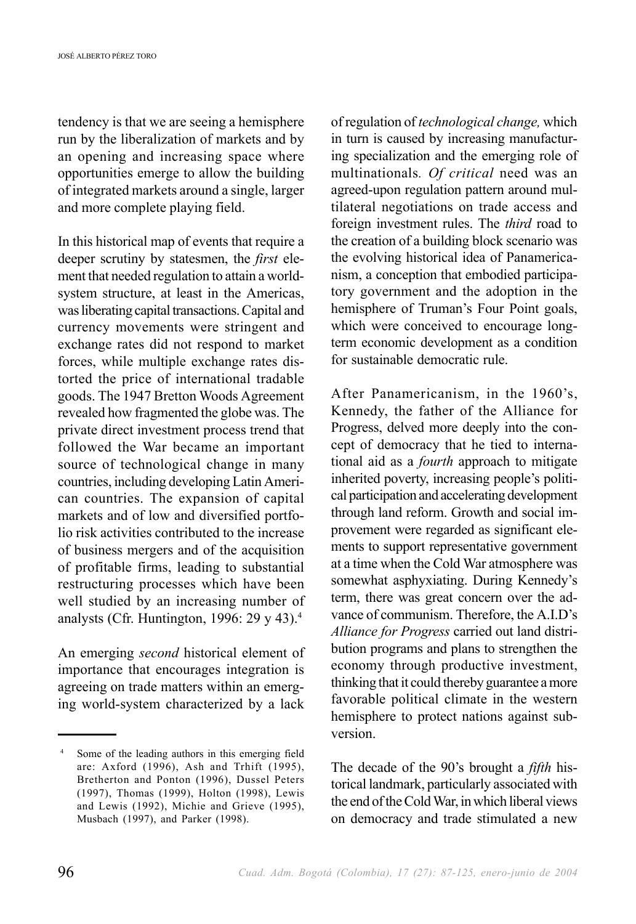tendency is that we are seeing a hemisphere run by the liberalization of markets and by an opening and increasing space where opportunities emerge to allow the building of integrated markets around a single, larger and more complete playing field.

In this historical map of events that require a deeper scrutiny by statesmen, the *first* element that needed regulation to attain a worldsystem structure, at least in the Americas, was liberating capital transactions. Capital and currency movements were stringent and exchange rates did not respond to market forces, while multiple exchange rates distorted the price of international tradable goods. The 1947 Bretton Woods Agreement revealed how fragmented the globe was. The private direct investment process trend that followed the War became an important source of technological change in many countries, including developing Latin American countries. The expansion of capital markets and of low and diversified portfolio risk activities contributed to the increase of business mergers and of the acquisition of profitable firms, leading to substantial restructuring processes which have been well studied by an increasing number of analysts (Cfr. Huntington, 1996:  $29 \text{ y } 43$ ).<sup>4</sup>

An emerging *second* historical element of importance that encourages integration is agreeing on trade matters within an emerging world-system characterized by a lack of regulation of *technological change,* which in turn is caused by increasing manufacturing specialization and the emerging role of multinationals*. Of critical* need was an agreed-upon regulation pattern around multilateral negotiations on trade access and foreign investment rules. The *third* road to the creation of a building block scenario was the evolving historical idea of Panamericanism, a conception that embodied participatory government and the adoption in the hemisphere of Truman's Four Point goals, which were conceived to encourage longterm economic development as a condition for sustainable democratic rule.

After Panamericanism, in the 1960's, Kennedy, the father of the Alliance for Progress, delved more deeply into the concept of democracy that he tied to international aid as a *fourth* approach to mitigate inherited poverty, increasing people's political participation and accelerating development through land reform. Growth and social improvement were regarded as significant elements to support representative government at a time when the Cold War atmosphere was somewhat asphyxiating. During Kennedy's term, there was great concern over the advance of communism. Therefore, the A.I.D's *Alliance for Progress* carried out land distribution programs and plans to strengthen the economy through productive investment, thinking that it could thereby guarantee a more favorable political climate in the western hemisphere to protect nations against subversion.

The decade of the 90's brought a *fifth* historical landmark, particularly associated with the end of the Cold War, in which liberal views on democracy and trade stimulated a new

<sup>4</sup> Some of the leading authors in this emerging field are: Axford (1996), Ash and Trhift (1995), Bretherton and Ponton (1996), Dussel Peters (1997), Thomas (1999), Holton (1998), Lewis and Lewis (1992), Michie and Grieve (1995), Musbach (1997), and Parker (1998).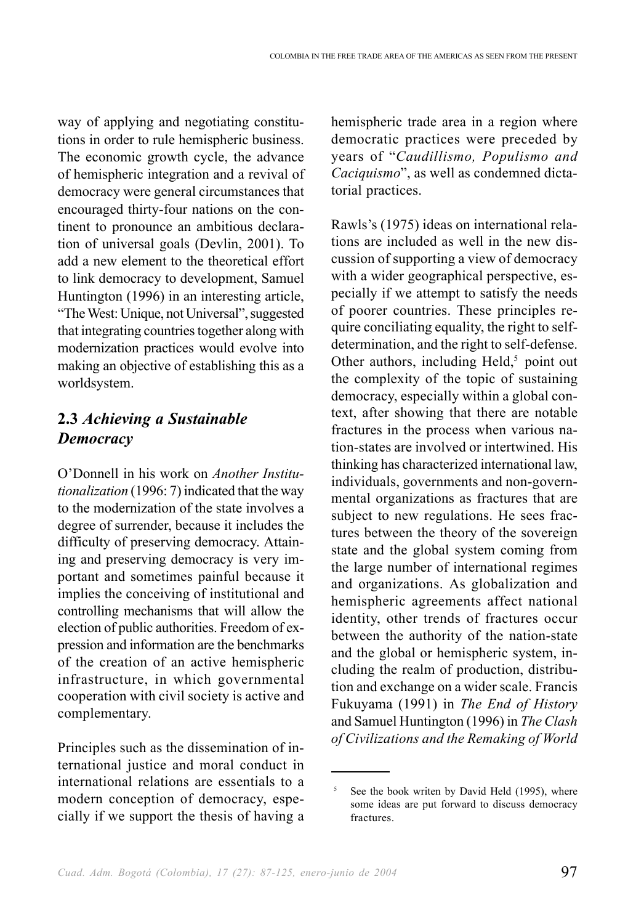way of applying and negotiating constitutions in order to rule hemispheric business. The economic growth cycle, the advance of hemispheric integration and a revival of democracy were general circumstances that encouraged thirty-four nations on the continent to pronounce an ambitious declaration of universal goals (Devlin, 2001). To add a new element to the theoretical effort to link democracy to development, Samuel Huntington (1996) in an interesting article, "The West: Unique, not Universal", suggested that integrating countries together along with modernization practices would evolve into making an objective of establishing this as a worldsystem.

# **2.3** *Achieving a Sustainable Democracy*

O'Donnell in his work on *Another Institutionalization* (1996: 7) indicated that the way to the modernization of the state involves a degree of surrender, because it includes the difficulty of preserving democracy. Attaining and preserving democracy is very important and sometimes painful because it implies the conceiving of institutional and controlling mechanisms that will allow the election of public authorities. Freedom of expression and information are the benchmarks of the creation of an active hemispheric infrastructure, in which governmental cooperation with civil society is active and complementary.

Principles such as the dissemination of international justice and moral conduct in international relations are essentials to a modern conception of democracy, especially if we support the thesis of having a hemispheric trade area in a region where democratic practices were preceded by years of "*Caudillismo, Populismo and Caciquismo*", as well as condemned dictatorial practices.

Rawls's (1975) ideas on international relations are included as well in the new discussion of supporting a view of democracy with a wider geographical perspective, especially if we attempt to satisfy the needs of poorer countries. These principles require conciliating equality, the right to selfdetermination, and the right to self-defense. Other authors, including Held, $5$  point out the complexity of the topic of sustaining democracy, especially within a global context, after showing that there are notable fractures in the process when various nation-states are involved or intertwined. His thinking has characterized international law, individuals, governments and non-governmental organizations as fractures that are subject to new regulations. He sees fractures between the theory of the sovereign state and the global system coming from the large number of international regimes and organizations. As globalization and hemispheric agreements affect national identity, other trends of fractures occur between the authority of the nation-state and the global or hemispheric system, including the realm of production, distribution and exchange on a wider scale. Francis Fukuyama (1991) in *The End of History* and Samuel Huntington (1996) in *The Clash of Civilizations and the Remaking of World*

See the book writen by David Held (1995), where some ideas are put forward to discuss democracy fractures.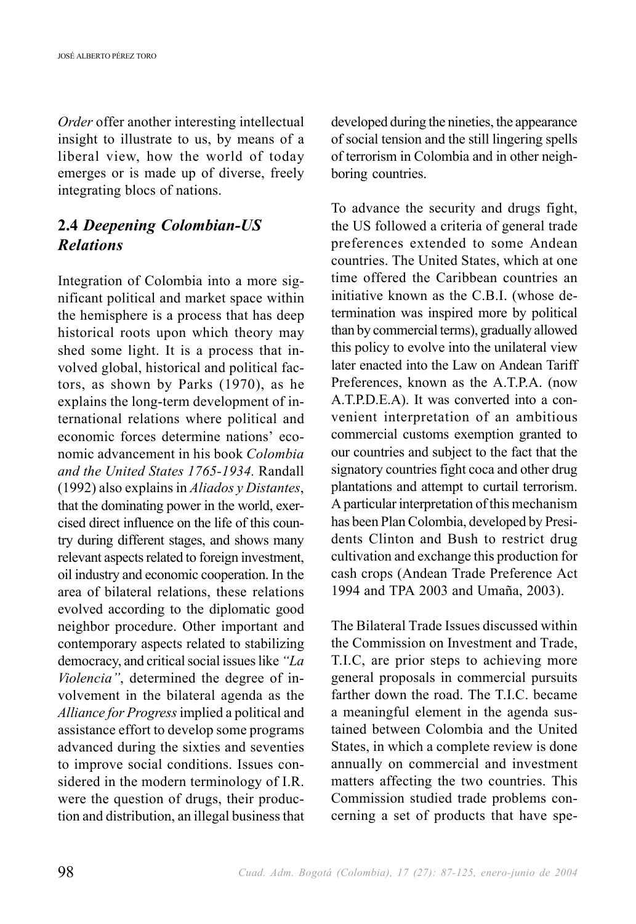*Order* offer another interesting intellectual insight to illustrate to us, by means of a liberal view, how the world of today emerges or is made up of diverse, freely integrating blocs of nations.

## **2.4** *Deepening Colombian-US Relations*

Integration of Colombia into a more significant political and market space within the hemisphere is a process that has deep historical roots upon which theory may shed some light. It is a process that involved global, historical and political factors, as shown by Parks (1970), as he explains the long-term development of international relations where political and economic forces determine nations' economic advancement in his book *Colombia and the United States 1765-1934.* Randall (1992) also explains in *Aliados y Distantes*, that the dominating power in the world, exercised direct influence on the life of this country during different stages, and shows many relevant aspects related to foreign investment, oil industry and economic cooperation. In the area of bilateral relations, these relations evolved according to the diplomatic good neighbor procedure. Other important and contemporary aspects related to stabilizing democracy, and critical social issues like *"La Violencia"*, determined the degree of involvement in the bilateral agenda as the *Alliance for Progress* implied a political and assistance effort to develop some programs advanced during the sixties and seventies to improve social conditions. Issues considered in the modern terminology of I.R. were the question of drugs, their production and distribution, an illegal business that developed during the nineties, the appearance of social tension and the still lingering spells of terrorism in Colombia and in other neighboring countries.

To advance the security and drugs fight, the US followed a criteria of general trade preferences extended to some Andean countries. The United States, which at one time offered the Caribbean countries an initiative known as the C.B.I. (whose determination was inspired more by political than by commercial terms), gradually allowed this policy to evolve into the unilateral view later enacted into the Law on Andean Tariff Preferences, known as the A.T.P.A. (now A.T.P.D.E.A). It was converted into a convenient interpretation of an ambitious commercial customs exemption granted to our countries and subject to the fact that the signatory countries fight coca and other drug plantations and attempt to curtail terrorism. A particular interpretation of this mechanism has been Plan Colombia, developed by Presidents Clinton and Bush to restrict drug cultivation and exchange this production for cash crops (Andean Trade Preference Act 1994 and TPA 2003 and Umaña, 2003).

The Bilateral Trade Issues discussed within the Commission on Investment and Trade, T.I.C, are prior steps to achieving more general proposals in commercial pursuits farther down the road. The T.I.C. became a meaningful element in the agenda sustained between Colombia and the United States, in which a complete review is done annually on commercial and investment matters affecting the two countries. This Commission studied trade problems concerning a set of products that have spe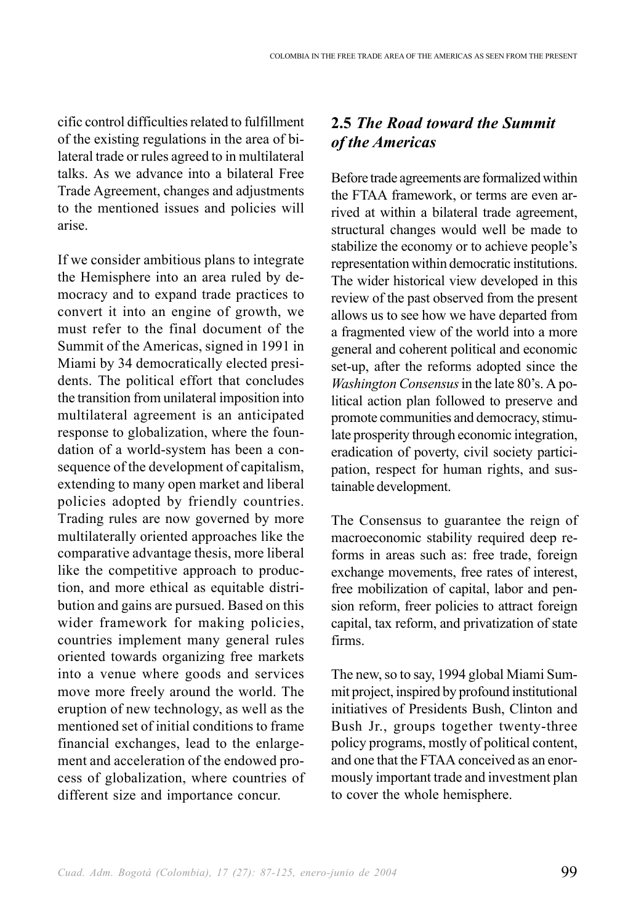cific control difficulties related to fulfillment of the existing regulations in the area of bilateral trade or rules agreed to in multilateral talks. As we advance into a bilateral Free Trade Agreement, changes and adjustments to the mentioned issues and policies will arise.

If we consider ambitious plans to integrate the Hemisphere into an area ruled by democracy and to expand trade practices to convert it into an engine of growth, we must refer to the final document of the Summit of the Americas, signed in 1991 in Miami by 34 democratically elected presidents. The political effort that concludes the transition from unilateral imposition into multilateral agreement is an anticipated response to globalization, where the foundation of a world-system has been a consequence of the development of capitalism, extending to many open market and liberal policies adopted by friendly countries. Trading rules are now governed by more multilaterally oriented approaches like the comparative advantage thesis, more liberal like the competitive approach to production, and more ethical as equitable distribution and gains are pursued. Based on this wider framework for making policies, countries implement many general rules oriented towards organizing free markets into a venue where goods and services move more freely around the world. The eruption of new technology, as well as the mentioned set of initial conditions to frame financial exchanges, lead to the enlargement and acceleration of the endowed process of globalization, where countries of different size and importance concur.

# **2.5** *The Road toward the Summit of the Americas*

Before trade agreements are formalized within the FTAA framework, or terms are even arrived at within a bilateral trade agreement, structural changes would well be made to stabilize the economy or to achieve people's representation within democratic institutions. The wider historical view developed in this review of the past observed from the present allows us to see how we have departed from a fragmented view of the world into a more general and coherent political and economic set-up, after the reforms adopted since the *Washington Consensus* in the late 80's. A political action plan followed to preserve and promote communities and democracy, stimulate prosperity through economic integration, eradication of poverty, civil society participation, respect for human rights, and sustainable development.

The Consensus to guarantee the reign of macroeconomic stability required deep reforms in areas such as: free trade, foreign exchange movements, free rates of interest, free mobilization of capital, labor and pension reform, freer policies to attract foreign capital, tax reform, and privatization of state firms.

The new, so to say, 1994 global Miami Summit project, inspired by profound institutional initiatives of Presidents Bush, Clinton and Bush Jr., groups together twenty-three policy programs, mostly of political content, and one that the FTAA conceived as an enormously important trade and investment plan to cover the whole hemisphere.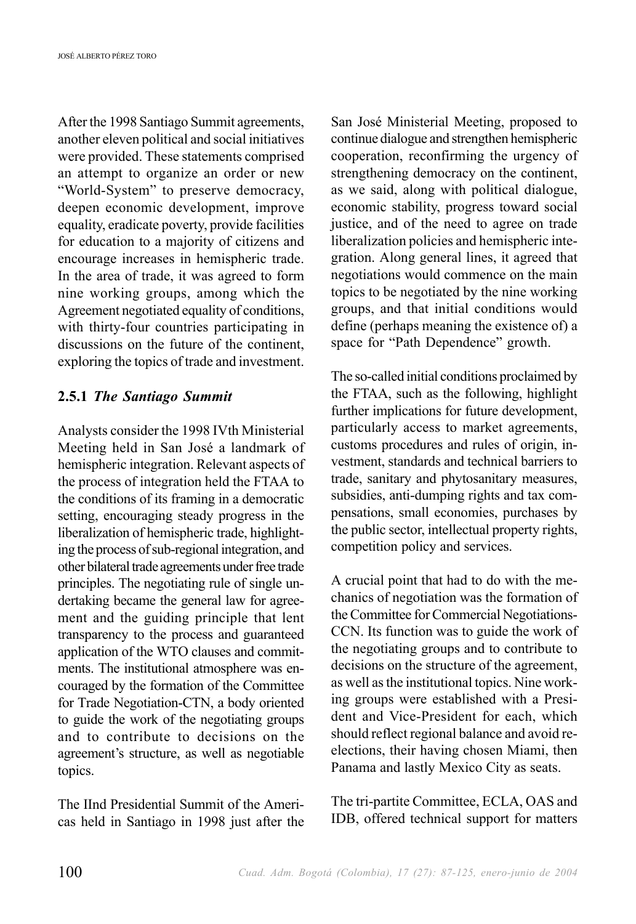After the 1998 Santiago Summit agreements, another eleven political and social initiatives were provided. These statements comprised an attempt to organize an order or new "World-System" to preserve democracy, deepen economic development, improve equality, eradicate poverty, provide facilities for education to a majority of citizens and encourage increases in hemispheric trade. In the area of trade, it was agreed to form nine working groups, among which the Agreement negotiated equality of conditions, with thirty-four countries participating in discussions on the future of the continent, exploring the topics of trade and investment.

#### **2.5.1** *The Santiago Summit*

Analysts consider the 1998 IVth Ministerial Meeting held in San José a landmark of hemispheric integration. Relevant aspects of the process of integration held the FTAA to the conditions of its framing in a democratic setting, encouraging steady progress in the liberalization of hemispheric trade, highlighting the process of sub-regional integration, and other bilateral trade agreements under free trade principles. The negotiating rule of single undertaking became the general law for agreement and the guiding principle that lent transparency to the process and guaranteed application of the WTO clauses and commitments. The institutional atmosphere was encouraged by the formation of the Committee for Trade Negotiation-CTN, a body oriented to guide the work of the negotiating groups and to contribute to decisions on the agreement's structure, as well as negotiable topics.

The IInd Presidential Summit of the Americas held in Santiago in 1998 just after the San José Ministerial Meeting, proposed to continue dialogue and strengthen hemispheric cooperation, reconfirming the urgency of strengthening democracy on the continent, as we said, along with political dialogue, economic stability, progress toward social justice, and of the need to agree on trade liberalization policies and hemispheric integration. Along general lines, it agreed that negotiations would commence on the main topics to be negotiated by the nine working groups, and that initial conditions would define (perhaps meaning the existence of) a space for "Path Dependence" growth.

The so-called initial conditions proclaimed by the FTAA, such as the following, highlight further implications for future development, particularly access to market agreements, customs procedures and rules of origin, investment, standards and technical barriers to trade, sanitary and phytosanitary measures, subsidies, anti-dumping rights and tax compensations, small economies, purchases by the public sector, intellectual property rights, competition policy and services.

A crucial point that had to do with the mechanics of negotiation was the formation of the Committee for Commercial Negotiations-CCN. Its function was to guide the work of the negotiating groups and to contribute to decisions on the structure of the agreement, as well as the institutional topics. Nine working groups were established with a President and Vice-President for each, which should reflect regional balance and avoid reelections, their having chosen Miami, then Panama and lastly Mexico City as seats.

The tri-partite Committee, ECLA, OAS and IDB, offered technical support for matters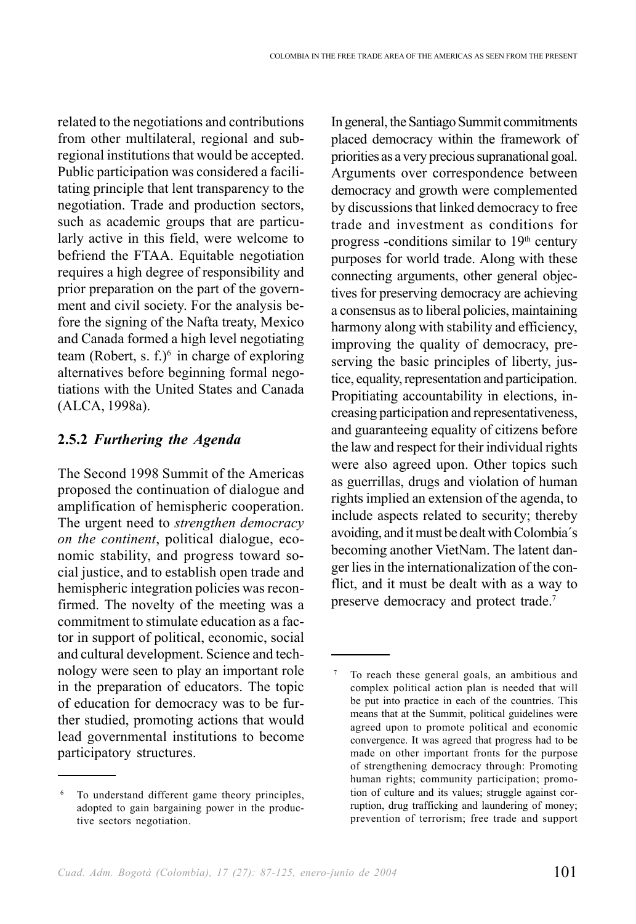related to the negotiations and contributions from other multilateral, regional and subregional institutions that would be accepted. Public participation was considered a facilitating principle that lent transparency to the negotiation. Trade and production sectors, such as academic groups that are particularly active in this field, were welcome to befriend the FTAA. Equitable negotiation requires a high degree of responsibility and prior preparation on the part of the government and civil society. For the analysis before the signing of the Nafta treaty, Mexico and Canada formed a high level negotiating team (Robert, s.  $f^2$ )<sup>6</sup> in charge of exploring alternatives before beginning formal negotiations with the United States and Canada (ALCA, 1998a).

#### **2.5.2** *Furthering the Agenda*

The Second 1998 Summit of the Americas proposed the continuation of dialogue and amplification of hemispheric cooperation. The urgent need to *strengthen democracy on the continent*, political dialogue, economic stability, and progress toward social justice, and to establish open trade and hemispheric integration policies was reconfirmed. The novelty of the meeting was a commitment to stimulate education as a factor in support of political, economic, social and cultural development. Science and technology were seen to play an important role in the preparation of educators. The topic of education for democracy was to be further studied, promoting actions that would lead governmental institutions to become participatory structures.

In general, the Santiago Summit commitments placed democracy within the framework of priorities as a very precious supranational goal. Arguments over correspondence between democracy and growth were complemented by discussions that linked democracy to free trade and investment as conditions for progress -conditions similar to  $19<sup>th</sup>$  century purposes for world trade. Along with these connecting arguments, other general objectives for preserving democracy are achieving a consensus as to liberal policies, maintaining harmony along with stability and efficiency, improving the quality of democracy, preserving the basic principles of liberty, justice, equality, representation and participation. Propitiating accountability in elections, increasing participation and representativeness, and guaranteeing equality of citizens before the law and respect for their individual rights were also agreed upon. Other topics such as guerrillas, drugs and violation of human rights implied an extension of the agenda, to include aspects related to security; thereby avoiding, and it must be dealt with Colombia´s becoming another VietNam. The latent danger lies in the internationalization of the conflict, and it must be dealt with as a way to preserve democracy and protect trade.<sup>7</sup>

To understand different game theory principles, adopted to gain bargaining power in the productive sectors negotiation.

To reach these general goals, an ambitious and complex political action plan is needed that will be put into practice in each of the countries. This means that at the Summit, political guidelines were agreed upon to promote political and economic convergence. It was agreed that progress had to be made on other important fronts for the purpose of strengthening democracy through: Promoting human rights; community participation; promotion of culture and its values; struggle against corruption, drug trafficking and laundering of money; prevention of terrorism; free trade and support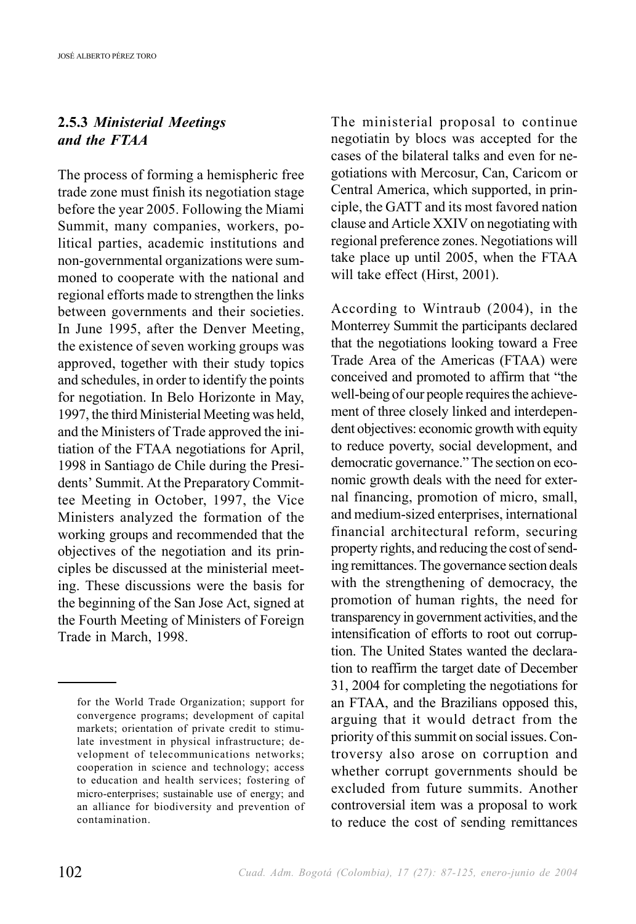## **2.5.3** *Ministerial Meetings and the FTAA*

The process of forming a hemispheric free trade zone must finish its negotiation stage before the year 2005. Following the Miami Summit, many companies, workers, political parties, academic institutions and non-governmental organizations were summoned to cooperate with the national and regional efforts made to strengthen the links between governments and their societies. In June 1995, after the Denver Meeting, the existence of seven working groups was approved, together with their study topics and schedules, in order to identify the points for negotiation. In Belo Horizonte in May, 1997, the third Ministerial Meeting was held, and the Ministers of Trade approved the initiation of the FTAA negotiations for April, 1998 in Santiago de Chile during the Presidents' Summit. At the Preparatory Committee Meeting in October, 1997, the Vice Ministers analyzed the formation of the working groups and recommended that the objectives of the negotiation and its principles be discussed at the ministerial meeting. These discussions were the basis for the beginning of the San Jose Act, signed at the Fourth Meeting of Ministers of Foreign Trade in March, 1998.

The ministerial proposal to continue negotiatin by blocs was accepted for the cases of the bilateral talks and even for negotiations with Mercosur, Can, Caricom or Central America, which supported, in principle, the GATT and its most favored nation clause and Article XXIV on negotiating with regional preference zones. Negotiations will take place up until 2005, when the FTAA will take effect (Hirst, 2001).

According to Wintraub (2004), in the Monterrey Summit the participants declared that the negotiations looking toward a Free Trade Area of the Americas (FTAA) were conceived and promoted to affirm that "the well-being of our people requires the achievement of three closely linked and interdependent objectives: economic growth with equity to reduce poverty, social development, and democratic governance." The section on economic growth deals with the need for external financing, promotion of micro, small, and medium-sized enterprises, international financial architectural reform, securing property rights, and reducing the cost of sending remittances. The governance section deals with the strengthening of democracy, the promotion of human rights, the need for transparency in government activities, and the intensification of efforts to root out corruption. The United States wanted the declaration to reaffirm the target date of December 31, 2004 for completing the negotiations for an FTAA, and the Brazilians opposed this, arguing that it would detract from the priority of this summit on social issues. Controversy also arose on corruption and whether corrupt governments should be excluded from future summits. Another controversial item was a proposal to work to reduce the cost of sending remittances

for the World Trade Organization; support for convergence programs; development of capital markets; orientation of private credit to stimulate investment in physical infrastructure; development of telecommunications networks; cooperation in science and technology; access to education and health services; fostering of micro-enterprises; sustainable use of energy; and an alliance for biodiversity and prevention of contamination.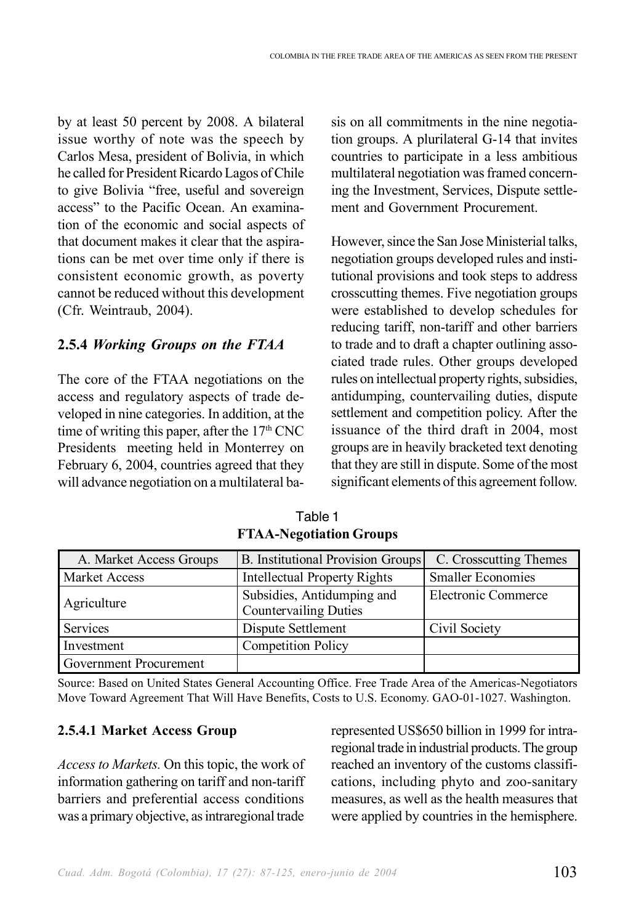by at least 50 percent by 2008. A bilateral issue worthy of note was the speech by Carlos Mesa, president of Bolivia, in which he called for President Ricardo Lagos of Chile to give Bolivia "free, useful and sovereign access" to the Pacific Ocean. An examination of the economic and social aspects of that document makes it clear that the aspirations can be met over time only if there is consistent economic growth, as poverty cannot be reduced without this development (Cfr. Weintraub, 2004).

#### **2.5.4** *Working Groups on the FTAA*

The core of the FTAA negotiations on the access and regulatory aspects of trade developed in nine categories. In addition, at the time of writing this paper, after the  $17<sup>th</sup>$  CNC Presidents meeting held in Monterrey on February 6, 2004, countries agreed that they will advance negotiation on a multilateral basis on all commitments in the nine negotiation groups. A plurilateral G-14 that invites countries to participate in a less ambitious multilateral negotiation was framed concerning the Investment, Services, Dispute settlement and Government Procurement.

However, since the San Jose Ministerial talks, negotiation groups developed rules and institutional provisions and took steps to address crosscutting themes. Five negotiation groups were established to develop schedules for reducing tariff, non-tariff and other barriers to trade and to draft a chapter outlining associated trade rules. Other groups developed rules on intellectual property rights, subsidies, antidumping, countervailing duties, dispute settlement and competition policy. After the issuance of the third draft in 2004, most groups are in heavily bracketed text denoting that they are still in dispute. Some of the most significant elements of this agreement follow.

| A. Market Access Groups | <b>B.</b> Institutional Provision Groups                   | C. Crosscutting Themes   |
|-------------------------|------------------------------------------------------------|--------------------------|
| <b>Market Access</b>    | <b>Intellectual Property Rights</b>                        | <b>Smaller Economies</b> |
| Agriculture             | Subsidies, Antidumping and<br><b>Countervailing Duties</b> | Electronic Commerce      |
| Services                | Dispute Settlement                                         | Civil Society            |
| Investment              | <b>Competition Policy</b>                                  |                          |
| Government Procurement  |                                                            |                          |

Table 1 **FTAA-Negotiation Groups**

Source: Based on United States General Accounting Office. Free Trade Area of the Americas-Negotiators Move Toward Agreement That Will Have Benefits, Costs to U.S. Economy. GAO-01-1027. Washington.

#### **2.5.4.1 Market Access Group**

*Access to Markets.* On this topic, the work of information gathering on tariff and non-tariff barriers and preferential access conditions was a primary objective, as intraregional trade represented US\$650 billion in 1999 for intraregional trade in industrial products. The group reached an inventory of the customs classifications, including phyto and zoo-sanitary measures, as well as the health measures that were applied by countries in the hemisphere.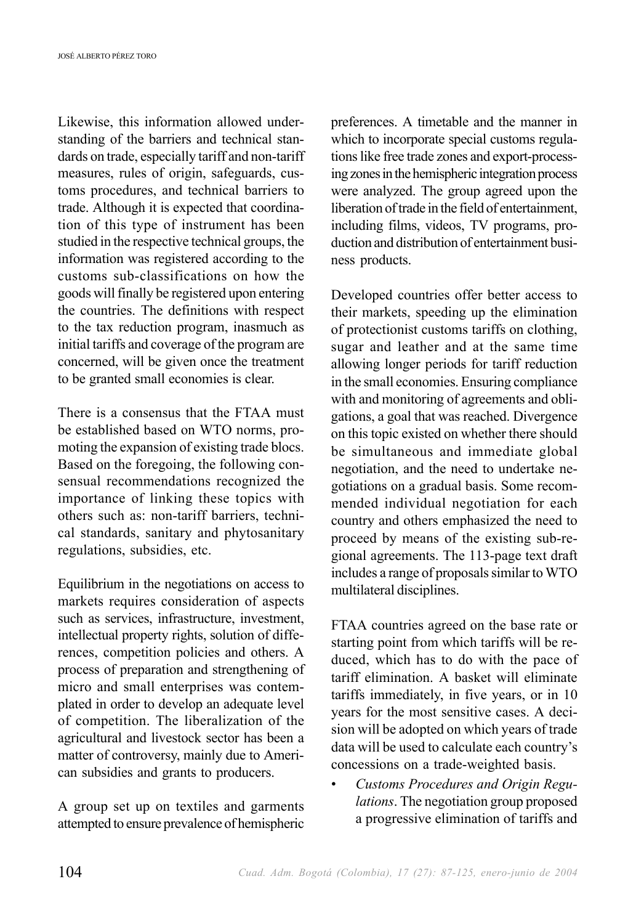Likewise, this information allowed understanding of the barriers and technical standards on trade, especially tariff and non-tariff measures, rules of origin, safeguards, customs procedures, and technical barriers to trade. Although it is expected that coordination of this type of instrument has been studied in the respective technical groups, the information was registered according to the customs sub-classifications on how the goods will finally be registered upon entering the countries. The definitions with respect to the tax reduction program, inasmuch as initial tariffs and coverage of the program are concerned, will be given once the treatment to be granted small economies is clear.

There is a consensus that the FTAA must be established based on WTO norms, promoting the expansion of existing trade blocs. Based on the foregoing, the following consensual recommendations recognized the importance of linking these topics with others such as: non-tariff barriers, technical standards, sanitary and phytosanitary regulations, subsidies, etc.

Equilibrium in the negotiations on access to markets requires consideration of aspects such as services, infrastructure, investment, intellectual property rights, solution of differences, competition policies and others. A process of preparation and strengthening of micro and small enterprises was contemplated in order to develop an adequate level of competition. The liberalization of the agricultural and livestock sector has been a matter of controversy, mainly due to American subsidies and grants to producers.

A group set up on textiles and garments attempted to ensure prevalence of hemispheric preferences. A timetable and the manner in which to incorporate special customs regulations like free trade zones and export-processing zones in the hemispheric integration process were analyzed. The group agreed upon the liberation of trade in the field of entertainment, including films, videos, TV programs, production and distribution of entertainment business products.

Developed countries offer better access to their markets, speeding up the elimination of protectionist customs tariffs on clothing, sugar and leather and at the same time allowing longer periods for tariff reduction in the small economies. Ensuring compliance with and monitoring of agreements and obligations, a goal that was reached. Divergence on this topic existed on whether there should be simultaneous and immediate global negotiation, and the need to undertake negotiations on a gradual basis. Some recommended individual negotiation for each country and others emphasized the need to proceed by means of the existing sub-regional agreements. The 113-page text draft includes a range of proposals similar to WTO multilateral disciplines.

FTAA countries agreed on the base rate or starting point from which tariffs will be reduced, which has to do with the pace of tariff elimination. A basket will eliminate tariffs immediately, in five years, or in 10 years for the most sensitive cases. A decision will be adopted on which years of trade data will be used to calculate each country's concessions on a trade-weighted basis.

• *Customs Procedures and Origin Regulations*. The negotiation group proposed a progressive elimination of tariffs and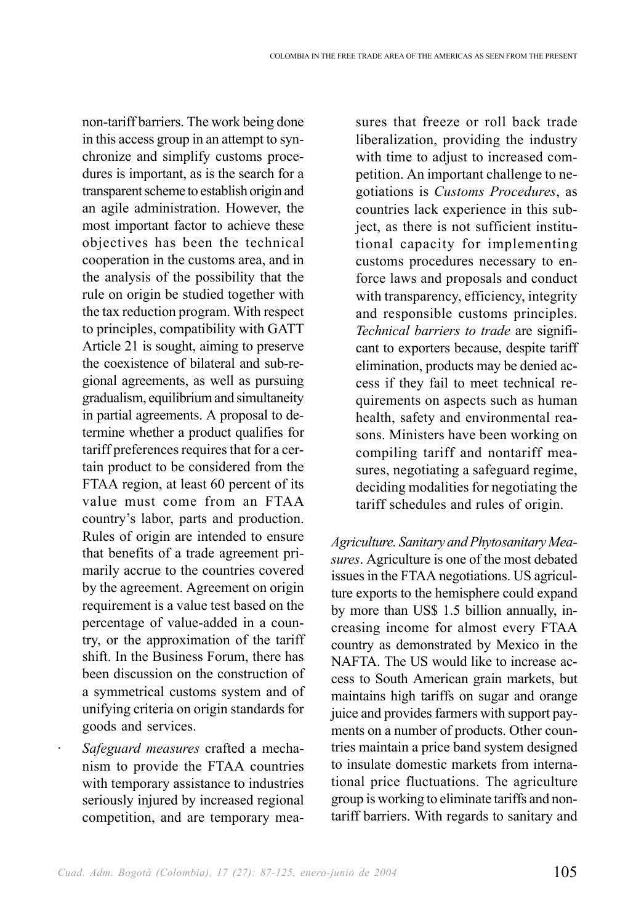non-tariff barriers. The work being done in this access group in an attempt to synchronize and simplify customs procedures is important, as is the search for a transparent scheme to establish origin and an agile administration. However, the most important factor to achieve these objectives has been the technical cooperation in the customs area, and in the analysis of the possibility that the rule on origin be studied together with the tax reduction program. With respect to principles, compatibility with GATT Article 21 is sought, aiming to preserve the coexistence of bilateral and sub-regional agreements, as well as pursuing gradualism, equilibrium and simultaneity in partial agreements. A proposal to determine whether a product qualifies for tariff preferences requires that for a certain product to be considered from the FTAA region, at least 60 percent of its value must come from an FTAA country's labor, parts and production. Rules of origin are intended to ensure that benefits of a trade agreement primarily accrue to the countries covered by the agreement. Agreement on origin requirement is a value test based on the percentage of value-added in a country, or the approximation of the tariff shift. In the Business Forum, there has been discussion on the construction of a symmetrical customs system and of unifying criteria on origin standards for goods and services.

· *Safeguard measures* crafted a mechanism to provide the FTAA countries with temporary assistance to industries seriously injured by increased regional competition, and are temporary measures that freeze or roll back trade liberalization, providing the industry with time to adjust to increased competition. An important challenge to negotiations is *Customs Procedures*, as countries lack experience in this subject, as there is not sufficient institutional capacity for implementing customs procedures necessary to enforce laws and proposals and conduct with transparency, efficiency, integrity and responsible customs principles. *Technical barriers to trade* are significant to exporters because, despite tariff elimination, products may be denied access if they fail to meet technical requirements on aspects such as human health, safety and environmental reasons. Ministers have been working on compiling tariff and nontariff measures, negotiating a safeguard regime, deciding modalities for negotiating the tariff schedules and rules of origin.

*Agriculture. Sanitary and Phytosanitary Measures*. Agriculture is one of the most debated issues in the FTAA negotiations. US agriculture exports to the hemisphere could expand by more than US\$ 1.5 billion annually, increasing income for almost every FTAA country as demonstrated by Mexico in the NAFTA. The US would like to increase access to South American grain markets, but maintains high tariffs on sugar and orange juice and provides farmers with support payments on a number of products. Other countries maintain a price band system designed to insulate domestic markets from international price fluctuations. The agriculture group is working to eliminate tariffs and nontariff barriers. With regards to sanitary and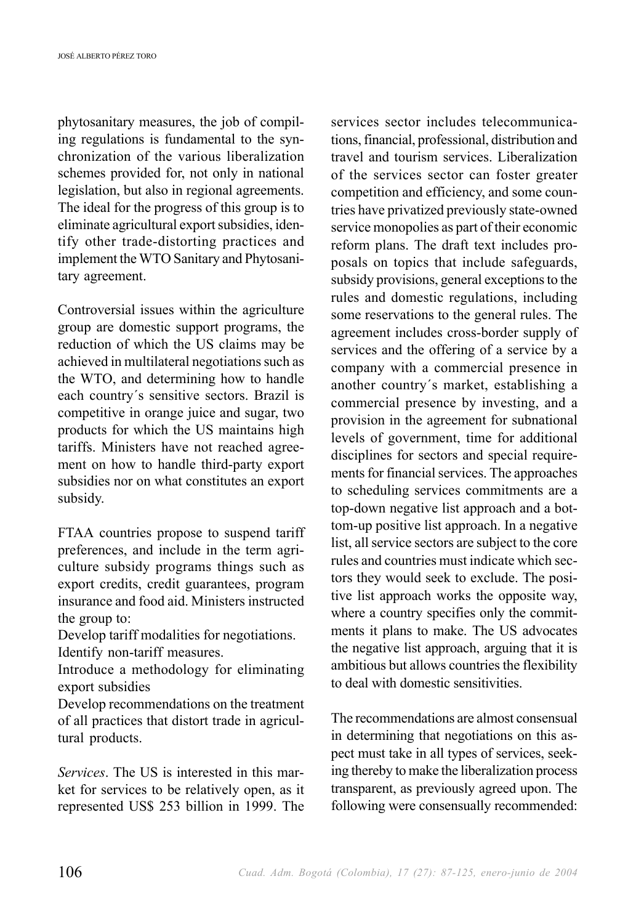phytosanitary measures, the job of compiling regulations is fundamental to the synchronization of the various liberalization schemes provided for, not only in national legislation, but also in regional agreements. The ideal for the progress of this group is to eliminate agricultural export subsidies, identify other trade-distorting practices and implement the WTO Sanitary and Phytosanitary agreement.

Controversial issues within the agriculture group are domestic support programs, the reduction of which the US claims may be achieved in multilateral negotiations such as the WTO, and determining how to handle each country´s sensitive sectors. Brazil is competitive in orange juice and sugar, two products for which the US maintains high tariffs. Ministers have not reached agreement on how to handle third-party export subsidies nor on what constitutes an export subsidy.

FTAA countries propose to suspend tariff preferences, and include in the term agriculture subsidy programs things such as export credits, credit guarantees, program insurance and food aid. Ministers instructed the group to:

Develop tariff modalities for negotiations. Identify non-tariff measures.

Introduce a methodology for eliminating export subsidies

Develop recommendations on the treatment of all practices that distort trade in agricultural products.

*Services*. The US is interested in this market for services to be relatively open, as it represented US\$ 253 billion in 1999. The services sector includes telecommunications, financial, professional, distribution and travel and tourism services. Liberalization of the services sector can foster greater competition and efficiency, and some countries have privatized previously state-owned service monopolies as part of their economic reform plans. The draft text includes proposals on topics that include safeguards, subsidy provisions, general exceptions to the rules and domestic regulations, including some reservations to the general rules. The agreement includes cross-border supply of services and the offering of a service by a company with a commercial presence in another country´s market, establishing a commercial presence by investing, and a provision in the agreement for subnational levels of government, time for additional disciplines for sectors and special requirements for financial services. The approaches to scheduling services commitments are a top-down negative list approach and a bottom-up positive list approach. In a negative list, all service sectors are subject to the core rules and countries must indicate which sectors they would seek to exclude. The positive list approach works the opposite way, where a country specifies only the commitments it plans to make. The US advocates the negative list approach, arguing that it is ambitious but allows countries the flexibility to deal with domestic sensitivities.

The recommendations are almost consensual in determining that negotiations on this aspect must take in all types of services, seeking thereby to make the liberalization process transparent, as previously agreed upon. The following were consensually recommended: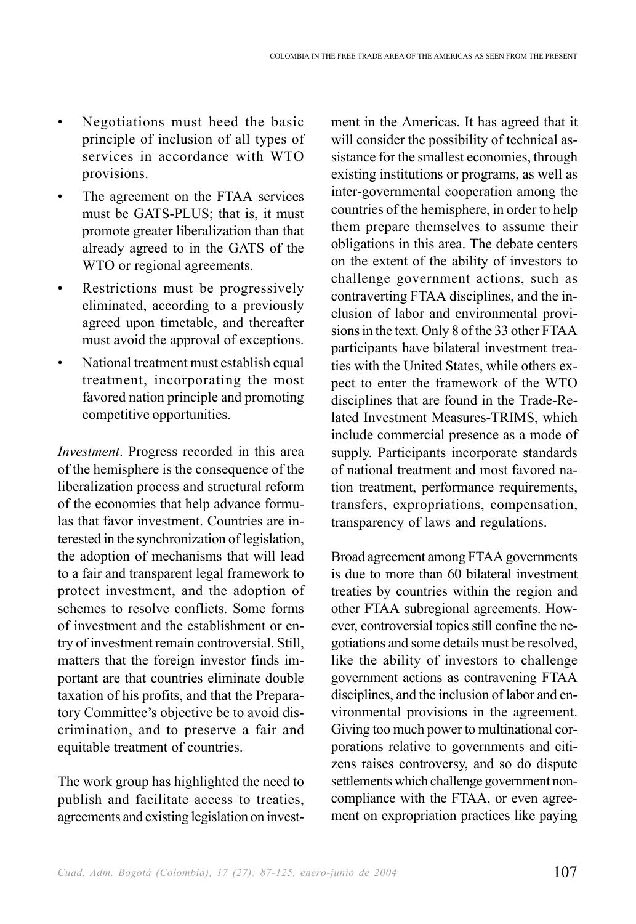- Negotiations must heed the basic principle of inclusion of all types of services in accordance with WTO provisions.
- The agreement on the FTAA services must be GATS-PLUS; that is, it must promote greater liberalization than that already agreed to in the GATS of the WTO or regional agreements.
- Restrictions must be progressively eliminated, according to a previously agreed upon timetable, and thereafter must avoid the approval of exceptions.
- National treatment must establish equal treatment, incorporating the most favored nation principle and promoting competitive opportunities.

*Investment*. Progress recorded in this area of the hemisphere is the consequence of the liberalization process and structural reform of the economies that help advance formulas that favor investment. Countries are interested in the synchronization of legislation, the adoption of mechanisms that will lead to a fair and transparent legal framework to protect investment, and the adoption of schemes to resolve conflicts. Some forms of investment and the establishment or entry of investment remain controversial. Still, matters that the foreign investor finds important are that countries eliminate double taxation of his profits, and that the Preparatory Committee's objective be to avoid discrimination, and to preserve a fair and equitable treatment of countries.

The work group has highlighted the need to publish and facilitate access to treaties, agreements and existing legislation on investment in the Americas. It has agreed that it will consider the possibility of technical assistance for the smallest economies, through existing institutions or programs, as well as inter-governmental cooperation among the countries of the hemisphere, in order to help them prepare themselves to assume their obligations in this area. The debate centers on the extent of the ability of investors to challenge government actions, such as contraverting FTAA disciplines, and the inclusion of labor and environmental provisions in the text. Only 8 of the 33 other FTAA participants have bilateral investment treaties with the United States, while others expect to enter the framework of the WTO disciplines that are found in the Trade-Related Investment Measures-TRIMS, which include commercial presence as a mode of supply. Participants incorporate standards of national treatment and most favored nation treatment, performance requirements, transfers, expropriations, compensation, transparency of laws and regulations.

Broad agreement among FTAA governments is due to more than 60 bilateral investment treaties by countries within the region and other FTAA subregional agreements. However, controversial topics still confine the negotiations and some details must be resolved, like the ability of investors to challenge government actions as contravening FTAA disciplines, and the inclusion of labor and environmental provisions in the agreement. Giving too much power to multinational corporations relative to governments and citizens raises controversy, and so do dispute settlements which challenge government noncompliance with the FTAA, or even agreement on expropriation practices like paying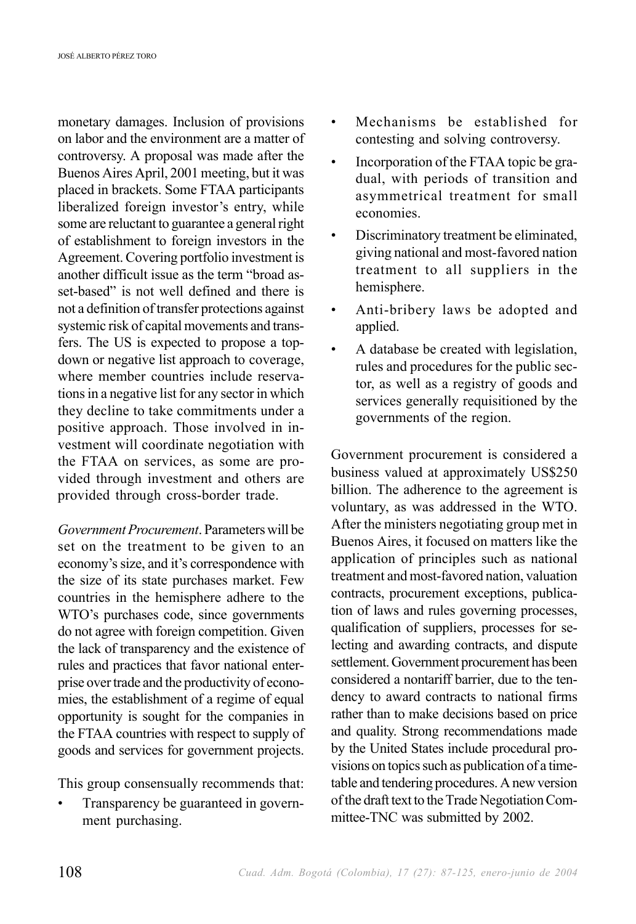monetary damages. Inclusion of provisions on labor and the environment are a matter of controversy. A proposal was made after the Buenos Aires April, 2001 meeting, but it was placed in brackets. Some FTAA participants liberalized foreign investor's entry, while some are reluctant to guarantee a general right of establishment to foreign investors in the Agreement. Covering portfolio investment is another difficult issue as the term "broad asset-based" is not well defined and there is not a definition of transfer protections against systemic risk of capital movements and transfers. The US is expected to propose a topdown or negative list approach to coverage, where member countries include reservations in a negative list for any sector in which they decline to take commitments under a positive approach. Those involved in investment will coordinate negotiation with the FTAA on services, as some are provided through investment and others are provided through cross-border trade.

*Government Procurement*. Parameters will be set on the treatment to be given to an economy's size, and it's correspondence with the size of its state purchases market. Few countries in the hemisphere adhere to the WTO's purchases code, since governments do not agree with foreign competition. Given the lack of transparency and the existence of rules and practices that favor national enterprise over trade and the productivity of economies, the establishment of a regime of equal opportunity is sought for the companies in the FTAA countries with respect to supply of goods and services for government projects.

This group consensually recommends that:

• Transparency be guaranteed in government purchasing.

- Mechanisms be established for contesting and solving controversy.
- Incorporation of the FTAA topic be gradual, with periods of transition and asymmetrical treatment for small economies.
- Discriminatory treatment be eliminated, giving national and most-favored nation treatment to all suppliers in the hemisphere.
- Anti-bribery laws be adopted and applied.
- A database be created with legislation, rules and procedures for the public sector, as well as a registry of goods and services generally requisitioned by the governments of the region.

Government procurement is considered a business valued at approximately US\$250 billion. The adherence to the agreement is voluntary, as was addressed in the WTO. After the ministers negotiating group met in Buenos Aires, it focused on matters like the application of principles such as national treatment and most-favored nation, valuation contracts, procurement exceptions, publication of laws and rules governing processes, qualification of suppliers, processes for selecting and awarding contracts, and dispute settlement. Government procurement has been considered a nontariff barrier, due to the tendency to award contracts to national firms rather than to make decisions based on price and quality. Strong recommendations made by the United States include procedural provisions on topics such as publication of a timetable and tendering procedures. A new version of the draft text to the Trade Negotiation Committee-TNC was submitted by 2002.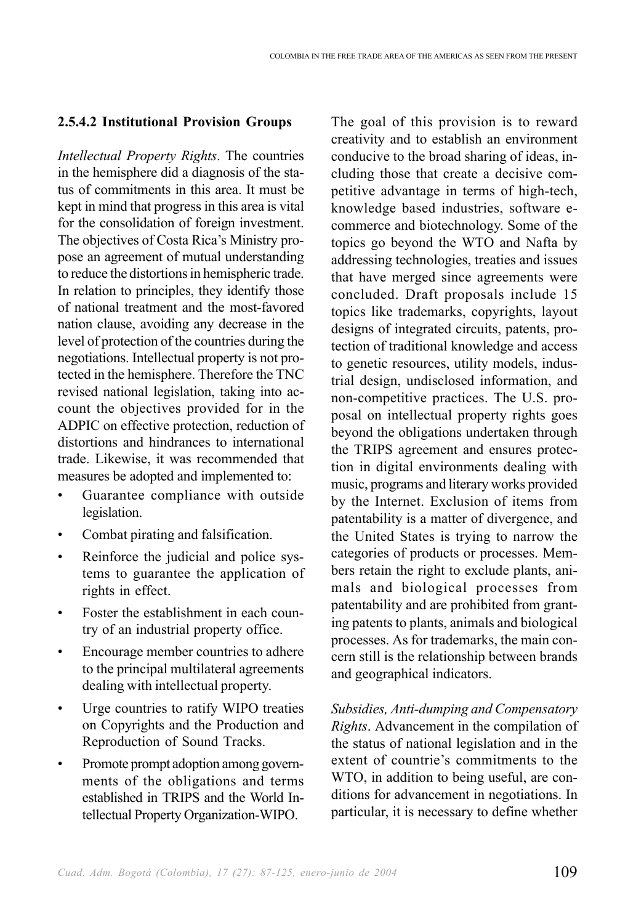#### **2.5.4.2 Institutional Provision Groups**

*Intellectual Property Rights*. The countries in the hemisphere did a diagnosis of the status of commitments in this area. It must be kept in mind that progress in this area is vital for the consolidation of foreign investment. The objectives of Costa Rica's Ministry propose an agreement of mutual understanding to reduce the distortions in hemispheric trade. In relation to principles, they identify those of national treatment and the most-favored nation clause, avoiding any decrease in the level of protection of the countries during the negotiations. Intellectual property is not protected in the hemisphere. Therefore the TNC revised national legislation, taking into account the objectives provided for in the ADPIC on effective protection, reduction of distortions and hindrances to international trade. Likewise, it was recommended that measures be adopted and implemented to:

- Guarantee compliance with outside legislation.
- Combat pirating and falsification.
- Reinforce the judicial and police systems to guarantee the application of rights in effect.
- Foster the establishment in each country of an industrial property office.
- Encourage member countries to adhere to the principal multilateral agreements dealing with intellectual property.
- Urge countries to ratify WIPO treaties on Copyrights and the Production and Reproduction of Sound Tracks.
- Promote prompt adoption among governments of the obligations and terms established in TRIPS and the World Intellectual Property Organization-WIPO.

The goal of this provision is to reward creativity and to establish an environment conducive to the broad sharing of ideas, including those that create a decisive competitive advantage in terms of high-tech, knowledge based industries, software ecommerce and biotechnology. Some of the topics go beyond the WTO and Nafta by addressing technologies, treaties and issues that have merged since agreements were concluded. Draft proposals include 15 topics like trademarks, copyrights, layout designs of integrated circuits, patents, protection of traditional knowledge and access to genetic resources, utility models, industrial design, undisclosed information, and non-competitive practices. The U.S. proposal on intellectual property rights goes beyond the obligations undertaken through the TRIPS agreement and ensures protection in digital environments dealing with music, programs and literary works provided by the Internet. Exclusion of items from patentability is a matter of divergence, and the United States is trying to narrow the categories of products or processes. Members retain the right to exclude plants, animals and biological processes from patentability and are prohibited from granting patents to plants, animals and biological processes. As for trademarks, the main concern still is the relationship between brands and geographical indicators.

*Subsidies, Anti-dumping and Compensatory Rights*. Advancement in the compilation of the status of national legislation and in the extent of countrie's commitments to the WTO, in addition to being useful, are conditions for advancement in negotiations. In particular, it is necessary to define whether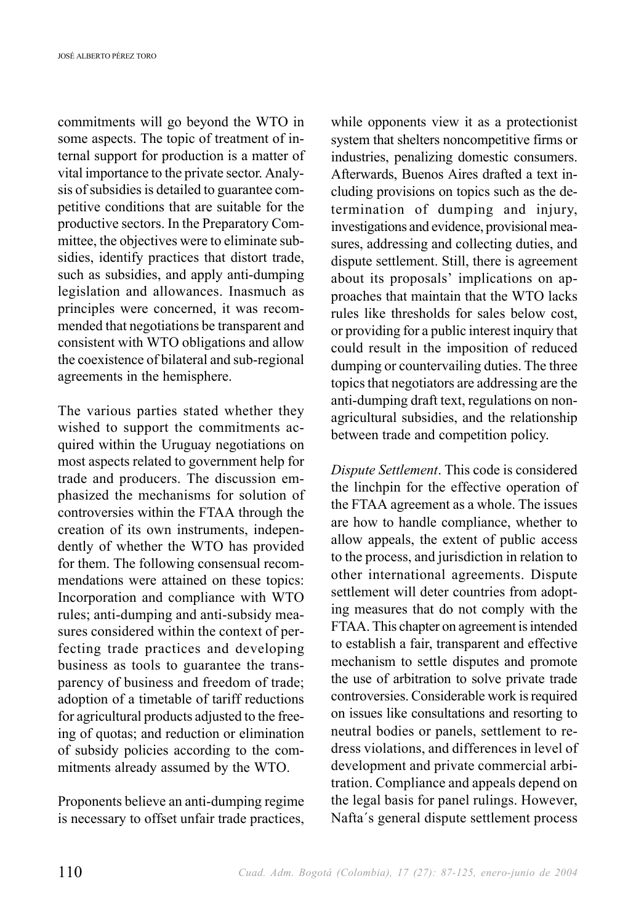commitments will go beyond the WTO in some aspects. The topic of treatment of internal support for production is a matter of vital importance to the private sector. Analysis of subsidies is detailed to guarantee competitive conditions that are suitable for the productive sectors. In the Preparatory Committee, the objectives were to eliminate subsidies, identify practices that distort trade, such as subsidies, and apply anti-dumping legislation and allowances. Inasmuch as principles were concerned, it was recommended that negotiations be transparent and consistent with WTO obligations and allow the coexistence of bilateral and sub-regional agreements in the hemisphere.

The various parties stated whether they wished to support the commitments acquired within the Uruguay negotiations on most aspects related to government help for trade and producers. The discussion emphasized the mechanisms for solution of controversies within the FTAA through the creation of its own instruments, independently of whether the WTO has provided for them. The following consensual recommendations were attained on these topics: Incorporation and compliance with WTO rules; anti-dumping and anti-subsidy measures considered within the context of perfecting trade practices and developing business as tools to guarantee the transparency of business and freedom of trade; adoption of a timetable of tariff reductions for agricultural products adjusted to the freeing of quotas; and reduction or elimination of subsidy policies according to the commitments already assumed by the WTO.

Proponents believe an anti-dumping regime is necessary to offset unfair trade practices, while opponents view it as a protectionist system that shelters noncompetitive firms or industries, penalizing domestic consumers. Afterwards, Buenos Aires drafted a text including provisions on topics such as the determination of dumping and injury, investigations and evidence, provisional measures, addressing and collecting duties, and dispute settlement. Still, there is agreement about its proposals' implications on approaches that maintain that the WTO lacks rules like thresholds for sales below cost, or providing for a public interest inquiry that could result in the imposition of reduced dumping or countervailing duties. The three topics that negotiators are addressing are the anti-dumping draft text, regulations on nonagricultural subsidies, and the relationship between trade and competition policy.

*Dispute Settlement*. This code is considered the linchpin for the effective operation of the FTAA agreement as a whole. The issues are how to handle compliance, whether to allow appeals, the extent of public access to the process, and jurisdiction in relation to other international agreements. Dispute settlement will deter countries from adopting measures that do not comply with the FTAA. This chapter on agreement is intended to establish a fair, transparent and effective mechanism to settle disputes and promote the use of arbitration to solve private trade controversies. Considerable work is required on issues like consultations and resorting to neutral bodies or panels, settlement to redress violations, and differences in level of development and private commercial arbitration. Compliance and appeals depend on the legal basis for panel rulings. However, Nafta´s general dispute settlement process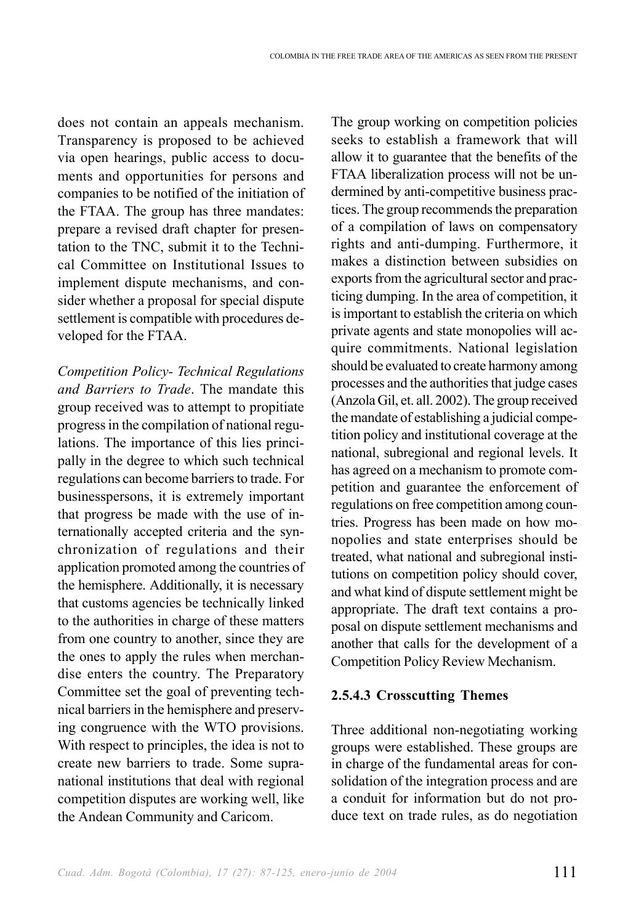does not contain an appeals mechanism. Transparency is proposed to be achieved via open hearings, public access to documents and opportunities for persons and companies to be notified of the initiation of the FTAA. The group has three mandates: prepare a revised draft chapter for presentation to the TNC, submit it to the Technical Committee on Institutional Issues to implement dispute mechanisms, and consider whether a proposal for special dispute settlement is compatible with procedures developed for the FTAA.

*Competition Policy- Technical Regulations and Barriers to Trade*. The mandate this group received was to attempt to propitiate progress in the compilation of national regulations. The importance of this lies principally in the degree to which such technical regulations can become barriers to trade. For businesspersons, it is extremely important that progress be made with the use of internationally accepted criteria and the synchronization of regulations and their application promoted among the countries of the hemisphere. Additionally, it is necessary that customs agencies be technically linked to the authorities in charge of these matters from one country to another, since they are the ones to apply the rules when merchandise enters the country. The Preparatory Committee set the goal of preventing technical barriers in the hemisphere and preserving congruence with the WTO provisions. With respect to principles, the idea is not to create new barriers to trade. Some supranational institutions that deal with regional competition disputes are working well, like the Andean Community and Caricom.

The group working on competition policies seeks to establish a framework that will allow it to guarantee that the benefits of the FTAA liberalization process will not be undermined by anti-competitive business practices. The group recommends the preparation of a compilation of laws on compensatory rights and anti-dumping. Furthermore, it makes a distinction between subsidies on exports from the agricultural sector and practicing dumping. In the area of competition, it is important to establish the criteria on which private agents and state monopolies will acquire commitments. National legislation should be evaluated to create harmony among processes and the authorities that judge cases (Anzola Gil, et. all. 2002). The group received the mandate of establishing a judicial competition policy and institutional coverage at the national, subregional and regional levels. It has agreed on a mechanism to promote competition and guarantee the enforcement of regulations on free competition among countries. Progress has been made on how monopolies and state enterprises should be treated, what national and subregional institutions on competition policy should cover, and what kind of dispute settlement might be appropriate. The draft text contains a proposal on dispute settlement mechanisms and another that calls for the development of a Competition Policy Review Mechanism.

#### **2.5.4.3 Crosscutting Themes**

Three additional non-negotiating working groups were established. These groups are in charge of the fundamental areas for consolidation of the integration process and are a conduit for information but do not produce text on trade rules, as do negotiation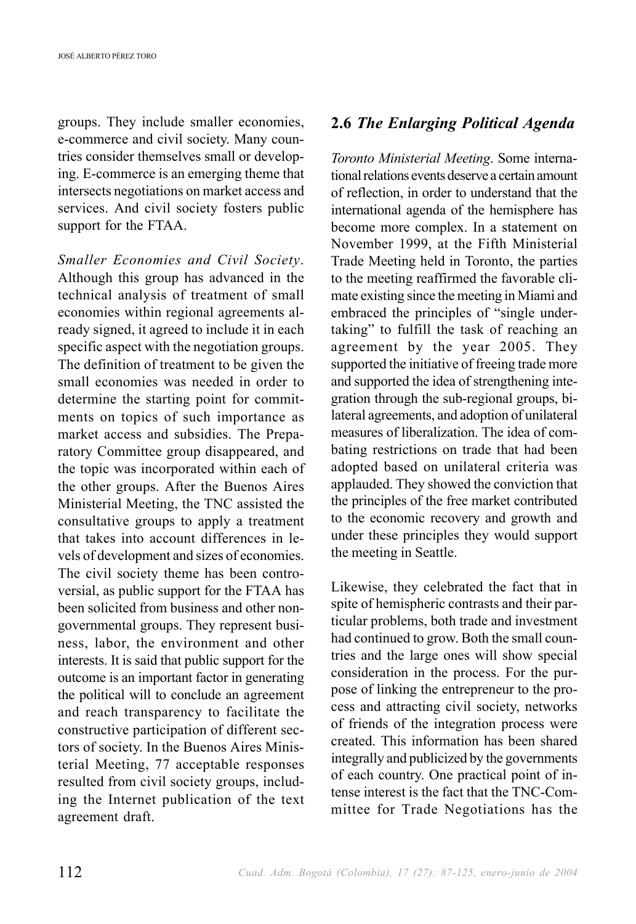groups. They include smaller economies, e-commerce and civil society. Many countries consider themselves small or developing. E-commerce is an emerging theme that intersects negotiations on market access and services. And civil society fosters public support for the FTAA.

*Smaller Economies and Civil Society*. Although this group has advanced in the technical analysis of treatment of small economies within regional agreements already signed, it agreed to include it in each specific aspect with the negotiation groups. The definition of treatment to be given the small economies was needed in order to determine the starting point for commitments on topics of such importance as market access and subsidies. The Preparatory Committee group disappeared, and the topic was incorporated within each of the other groups. After the Buenos Aires Ministerial Meeting, the TNC assisted the consultative groups to apply a treatment that takes into account differences in levels of development and sizes of economies. The civil society theme has been controversial, as public support for the FTAA has been solicited from business and other nongovernmental groups. They represent business, labor, the environment and other interests. It is said that public support for the outcome is an important factor in generating the political will to conclude an agreement and reach transparency to facilitate the constructive participation of different sectors of society. In the Buenos Aires Ministerial Meeting, 77 acceptable responses resulted from civil society groups, including the Internet publication of the text agreement draft.

## **2.6** *The Enlarging Political Agenda*

*Toronto Ministerial Meeting*. Some international relations events deserve a certain amount of reflection, in order to understand that the international agenda of the hemisphere has become more complex. In a statement on November 1999, at the Fifth Ministerial Trade Meeting held in Toronto, the parties to the meeting reaffirmed the favorable climate existing since the meeting in Miami and embraced the principles of "single undertaking" to fulfill the task of reaching an agreement by the year 2005. They supported the initiative of freeing trade more and supported the idea of strengthening integration through the sub-regional groups, bilateral agreements, and adoption of unilateral measures of liberalization. The idea of combating restrictions on trade that had been adopted based on unilateral criteria was applauded. They showed the conviction that the principles of the free market contributed to the economic recovery and growth and under these principles they would support the meeting in Seattle.

Likewise, they celebrated the fact that in spite of hemispheric contrasts and their particular problems, both trade and investment had continued to grow. Both the small countries and the large ones will show special consideration in the process. For the purpose of linking the entrepreneur to the process and attracting civil society, networks of friends of the integration process were created. This information has been shared integrally and publicized by the governments of each country. One practical point of intense interest is the fact that the TNC-Committee for Trade Negotiations has the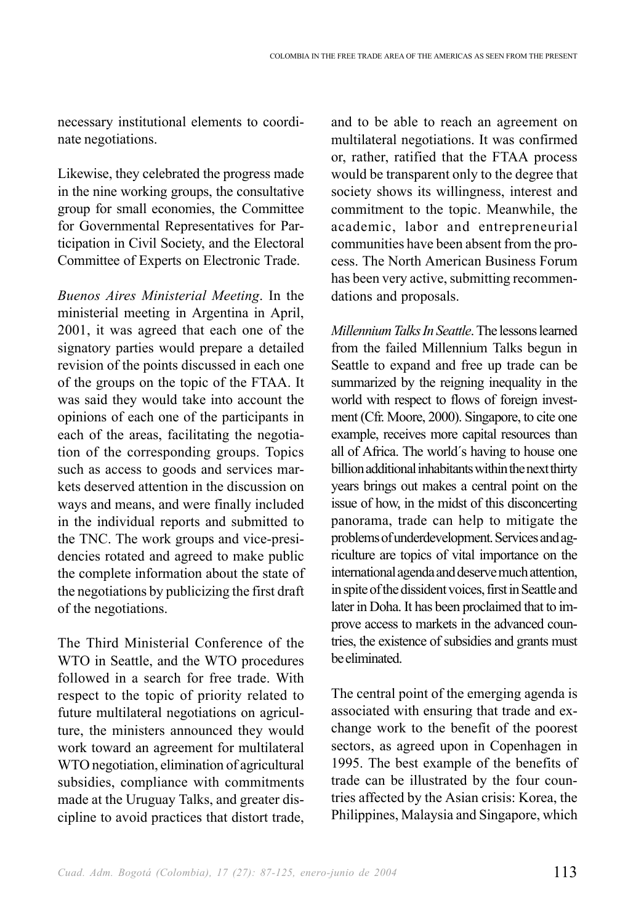necessary institutional elements to coordinate negotiations.

Likewise, they celebrated the progress made in the nine working groups, the consultative group for small economies, the Committee for Governmental Representatives for Participation in Civil Society, and the Electoral Committee of Experts on Electronic Trade.

*Buenos Aires Ministerial Meeting*. In the ministerial meeting in Argentina in April, 2001, it was agreed that each one of the signatory parties would prepare a detailed revision of the points discussed in each one of the groups on the topic of the FTAA. It was said they would take into account the opinions of each one of the participants in each of the areas, facilitating the negotiation of the corresponding groups. Topics such as access to goods and services markets deserved attention in the discussion on ways and means, and were finally included in the individual reports and submitted to the TNC. The work groups and vice-presidencies rotated and agreed to make public the complete information about the state of the negotiations by publicizing the first draft of the negotiations.

The Third Ministerial Conference of the WTO in Seattle, and the WTO procedures followed in a search for free trade. With respect to the topic of priority related to future multilateral negotiations on agriculture, the ministers announced they would work toward an agreement for multilateral WTO negotiation, elimination of agricultural subsidies, compliance with commitments made at the Uruguay Talks, and greater discipline to avoid practices that distort trade, and to be able to reach an agreement on multilateral negotiations. It was confirmed or, rather, ratified that the FTAA process would be transparent only to the degree that society shows its willingness, interest and commitment to the topic. Meanwhile, the academic, labor and entrepreneurial communities have been absent from the process. The North American Business Forum has been very active, submitting recommendations and proposals.

*Millennium Talks In Seattle*. The lessons learned from the failed Millennium Talks begun in Seattle to expand and free up trade can be summarized by the reigning inequality in the world with respect to flows of foreign investment (Cfr. Moore, 2000). Singapore, to cite one example, receives more capital resources than all of Africa. The world´s having to house one billion additional inhabitants within the next thirty years brings out makes a central point on the issue of how, in the midst of this disconcerting panorama, trade can help to mitigate the problems of underdevelopment. Services and agriculture are topics of vital importance on the international agenda and deserve much attention, in spite of the dissident voices, first in Seattle and later in Doha. It has been proclaimed that to improve access to markets in the advanced countries, the existence of subsidies and grants must be eliminated.

The central point of the emerging agenda is associated with ensuring that trade and exchange work to the benefit of the poorest sectors, as agreed upon in Copenhagen in 1995. The best example of the benefits of trade can be illustrated by the four countries affected by the Asian crisis: Korea, the Philippines, Malaysia and Singapore, which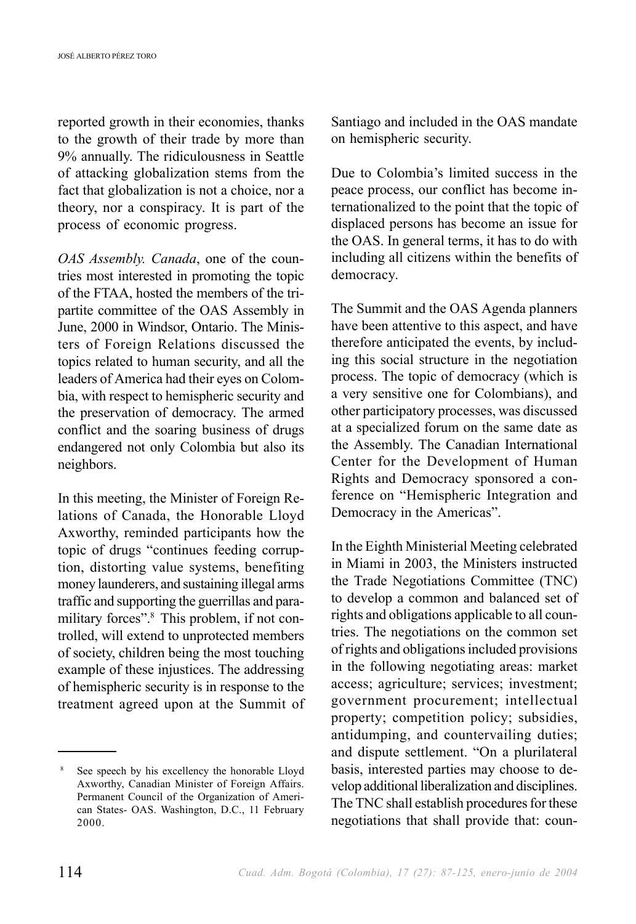reported growth in their economies, thanks to the growth of their trade by more than 9% annually. The ridiculousness in Seattle of attacking globalization stems from the fact that globalization is not a choice, nor a theory, nor a conspiracy. It is part of the process of economic progress.

*OAS Assembly. Canada*, one of the countries most interested in promoting the topic of the FTAA, hosted the members of the tripartite committee of the OAS Assembly in June, 2000 in Windsor, Ontario. The Ministers of Foreign Relations discussed the topics related to human security, and all the leaders of America had their eyes on Colombia, with respect to hemispheric security and the preservation of democracy. The armed conflict and the soaring business of drugs endangered not only Colombia but also its neighbors.

In this meeting, the Minister of Foreign Relations of Canada, the Honorable Lloyd Axworthy, reminded participants how the topic of drugs "continues feeding corruption, distorting value systems, benefiting money launderers, and sustaining illegal arms traffic and supporting the guerrillas and paramilitary forces".<sup>8</sup> This problem, if not controlled, will extend to unprotected members of society, children being the most touching example of these injustices. The addressing of hemispheric security is in response to the treatment agreed upon at the Summit of

<sup>8</sup> See speech by his excellency the honorable Lloyd Axworthy, Canadian Minister of Foreign Affairs. Permanent Council of the Organization of American States- OAS. Washington, D.C., 11 February 2000.

Santiago and included in the OAS mandate on hemispheric security.

Due to Colombia's limited success in the peace process, our conflict has become internationalized to the point that the topic of displaced persons has become an issue for the OAS. In general terms, it has to do with including all citizens within the benefits of democracy.

The Summit and the OAS Agenda planners have been attentive to this aspect, and have therefore anticipated the events, by including this social structure in the negotiation process. The topic of democracy (which is a very sensitive one for Colombians), and other participatory processes, was discussed at a specialized forum on the same date as the Assembly. The Canadian International Center for the Development of Human Rights and Democracy sponsored a conference on "Hemispheric Integration and Democracy in the Americas".

In the Eighth Ministerial Meeting celebrated in Miami in 2003, the Ministers instructed the Trade Negotiations Committee (TNC) to develop a common and balanced set of rights and obligations applicable to all countries. The negotiations on the common set of rights and obligations included provisions in the following negotiating areas: market access; agriculture; services; investment; government procurement; intellectual property; competition policy; subsidies, antidumping, and countervailing duties; and dispute settlement. "On a plurilateral basis, interested parties may choose to develop additional liberalization and disciplines. The TNC shall establish procedures for these negotiations that shall provide that: coun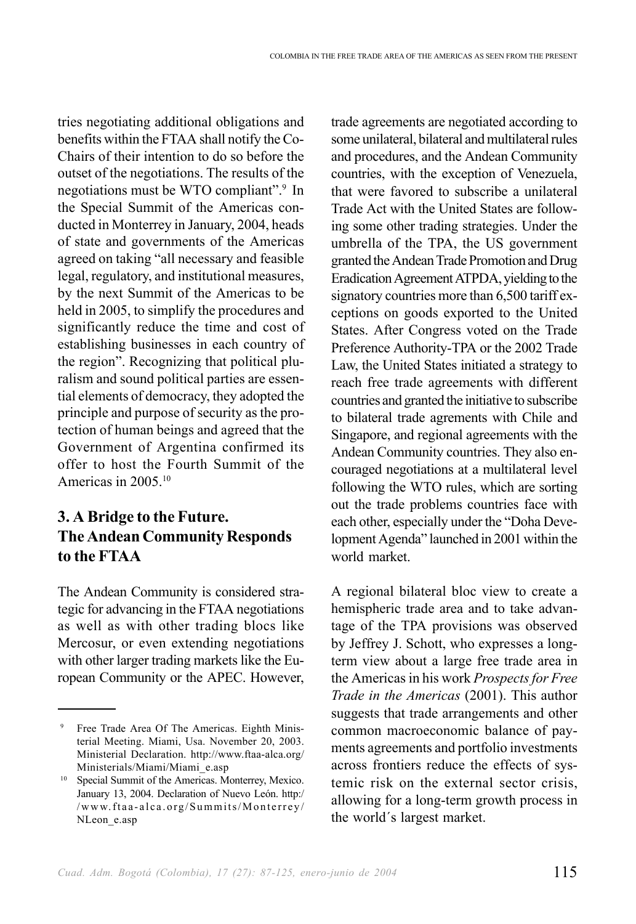tries negotiating additional obligations and benefits within the FTAA shall notify the Co-Chairs of their intention to do so before the outset of the negotiations. The results of the negotiations must be WTO compliant".<sup>9</sup> In the Special Summit of the Americas conducted in Monterrey in January, 2004, heads of state and governments of the Americas agreed on taking "all necessary and feasible legal, regulatory, and institutional measures, by the next Summit of the Americas to be held in 2005, to simplify the procedures and significantly reduce the time and cost of establishing businesses in each country of the region". Recognizing that political pluralism and sound political parties are essential elements of democracy, they adopted the principle and purpose of security as the protection of human beings and agreed that the Government of Argentina confirmed its offer to host the Fourth Summit of the Americas in 2005<sup>10</sup>

## **3. A Bridge to the Future. The Andean Community Responds to the FTAA**

The Andean Community is considered strategic for advancing in the FTAA negotiations as well as with other trading blocs like Mercosur, or even extending negotiations with other larger trading markets like the European Community or the APEC. However, trade agreements are negotiated according to some unilateral, bilateral and multilateral rules and procedures, and the Andean Community countries, with the exception of Venezuela, that were favored to subscribe a unilateral Trade Act with the United States are following some other trading strategies. Under the umbrella of the TPA, the US government granted the Andean Trade Promotion and Drug Eradication Agreement ATPDA, yielding to the signatory countries more than 6,500 tariff exceptions on goods exported to the United States. After Congress voted on the Trade Preference Authority-TPA or the 2002 Trade Law, the United States initiated a strategy to reach free trade agreements with different countries and granted the initiative to subscribe to bilateral trade agrements with Chile and Singapore, and regional agreements with the Andean Community countries. They also encouraged negotiations at a multilateral level following the WTO rules, which are sorting out the trade problems countries face with each other, especially under the "Doha Development Agenda" launched in 2001 within the world market.

A regional bilateral bloc view to create a hemispheric trade area and to take advantage of the TPA provisions was observed by Jeffrey J. Schott, who expresses a longterm view about a large free trade area in the Americas in his work *Prospects for Free Trade in the Americas* (2001). This author suggests that trade arrangements and other common macroeconomic balance of payments agreements and portfolio investments across frontiers reduce the effects of systemic risk on the external sector crisis, allowing for a long-term growth process in the world´s largest market.

Free Trade Area Of The Americas. Eighth Ministerial Meeting. Miami, Usa. November 20, 2003. Ministerial Declaration. http://www.ftaa-alca.org/ Ministerials/Miami/Miami\_e.asp

<sup>10</sup> Special Summit of the Americas. Monterrey, Mexico. January 13, 2004. Declaration of Nuevo León. http:/ /www.ftaa-alca.org/Summits/Monterrey/ NLeon\_e.asp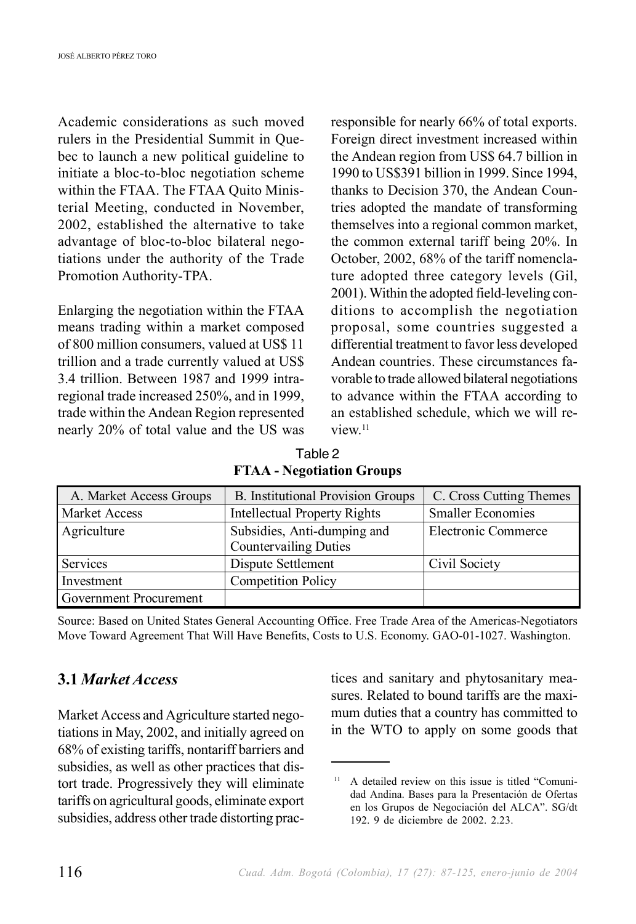Academic considerations as such moved rulers in the Presidential Summit in Quebec to launch a new political guideline to initiate a bloc-to-bloc negotiation scheme within the FTAA. The FTAA Quito Ministerial Meeting, conducted in November, 2002, established the alternative to take advantage of bloc-to-bloc bilateral negotiations under the authority of the Trade Promotion Authority-TPA.

Enlarging the negotiation within the FTAA means trading within a market composed of 800 million consumers, valued at US\$ 11 trillion and a trade currently valued at US\$ 3.4 trillion. Between 1987 and 1999 intraregional trade increased 250%, and in 1999, trade within the Andean Region represented nearly 20% of total value and the US was responsible for nearly 66% of total exports. Foreign direct investment increased within the Andean region from US\$ 64.7 billion in 1990 to US\$391 billion in 1999. Since 1994, thanks to Decision 370, the Andean Countries adopted the mandate of transforming themselves into a regional common market, the common external tariff being 20%. In October, 2002, 68% of the tariff nomenclature adopted three category levels (Gil, 2001). Within the adopted field-leveling conditions to accomplish the negotiation proposal, some countries suggested a differential treatment to favor less developed Andean countries. These circumstances favorable to trade allowed bilateral negotiations to advance within the FTAA according to an established schedule, which we will review.<sup>11</sup>

Table 2 **FTAA - Negotiation Groups**

| A. Market Access Groups | <b>B.</b> Institutional Provision Groups | C. Cross Cutting Themes  |
|-------------------------|------------------------------------------|--------------------------|
| Market Access           | <b>Intellectual Property Rights</b>      | <b>Smaller Economies</b> |
| Agriculture             | Subsidies, Anti-dumping and              | Electronic Commerce      |
|                         | <b>Countervailing Duties</b>             |                          |
| Services                | Dispute Settlement                       | Civil Society            |
| Investment              | <b>Competition Policy</b>                |                          |
| Government Procurement  |                                          |                          |

Source: Based on United States General Accounting Office. Free Trade Area of the Americas-Negotiators Move Toward Agreement That Will Have Benefits, Costs to U.S. Economy. GAO-01-1027. Washington.

## **3.1** *Market Access*

Market Access and Agriculture started negotiations in May, 2002, and initially agreed on 68% of existing tariffs, nontariff barriers and subsidies, as well as other practices that distort trade. Progressively they will eliminate tariffs on agricultural goods, eliminate export subsidies, address other trade distorting practices and sanitary and phytosanitary measures. Related to bound tariffs are the maximum duties that a country has committed to in the WTO to apply on some goods that

<sup>&</sup>lt;sup>11</sup> A detailed review on this issue is titled "Comunidad Andina. Bases para la Presentación de Ofertas en los Grupos de Negociación del ALCA". SG/dt 192. 9 de diciembre de 2002. 2.23.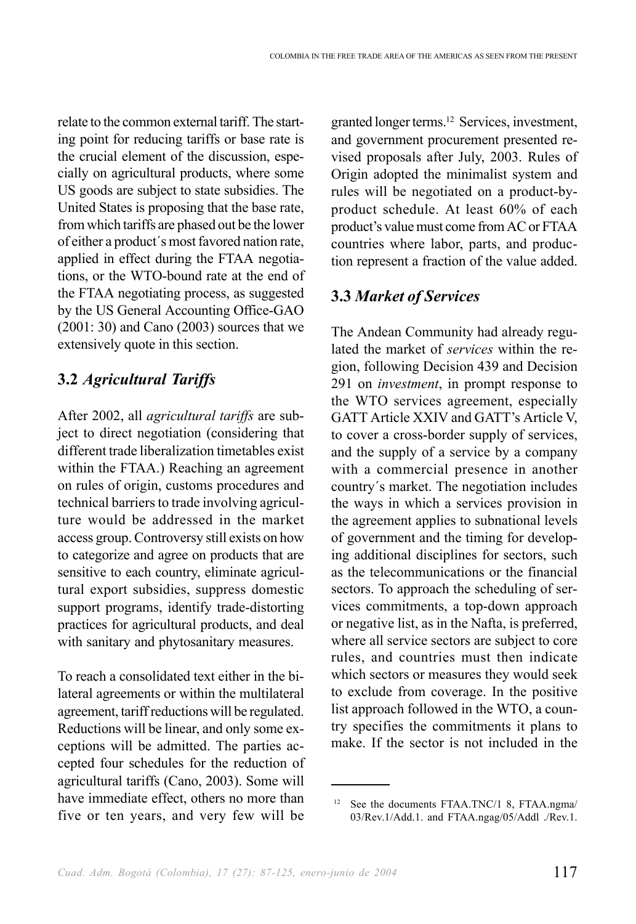relate to the common external tariff. The starting point for reducing tariffs or base rate is the crucial element of the discussion, especially on agricultural products, where some US goods are subject to state subsidies. The United States is proposing that the base rate, from which tariffs are phased out be the lower of either a product´s most favored nation rate, applied in effect during the FTAA negotiations, or the WTO-bound rate at the end of the FTAA negotiating process, as suggested by the US General Accounting Office-GAO (2001: 30) and Cano (2003) sources that we extensively quote in this section.

## **3.2** *Agricultural Tariffs*

After 2002, all *agricultural tariffs* are subject to direct negotiation (considering that different trade liberalization timetables exist within the FTAA.) Reaching an agreement on rules of origin, customs procedures and technical barriers to trade involving agriculture would be addressed in the market access group. Controversy still exists on how to categorize and agree on products that are sensitive to each country, eliminate agricultural export subsidies, suppress domestic support programs, identify trade-distorting practices for agricultural products, and deal with sanitary and phytosanitary measures.

To reach a consolidated text either in the bilateral agreements or within the multilateral agreement, tariff reductions will be regulated. Reductions will be linear, and only some exceptions will be admitted. The parties accepted four schedules for the reduction of agricultural tariffs (Cano, 2003). Some will have immediate effect, others no more than five or ten years, and very few will be granted longer terms.12 Services, investment, and government procurement presented revised proposals after July, 2003. Rules of Origin adopted the minimalist system and rules will be negotiated on a product-byproduct schedule. At least 60% of each product's value must come from AC or FTAA countries where labor, parts, and production represent a fraction of the value added.

# **3.3** *Market of Services*

The Andean Community had already regulated the market of *services* within the region, following Decision 439 and Decision 291 on *investment*, in prompt response to the WTO services agreement, especially GATT Article XXIV and GATT's Article V, to cover a cross-border supply of services, and the supply of a service by a company with a commercial presence in another country´s market. The negotiation includes the ways in which a services provision in the agreement applies to subnational levels of government and the timing for developing additional disciplines for sectors, such as the telecommunications or the financial sectors. To approach the scheduling of services commitments, a top-down approach or negative list, as in the Nafta, is preferred, where all service sectors are subject to core rules, and countries must then indicate which sectors or measures they would seek to exclude from coverage. In the positive list approach followed in the WTO, a country specifies the commitments it plans to make. If the sector is not included in the

<sup>12</sup> See the documents FTAA.TNC/1 8, FTAA.ngma/ 03/Rev.1/Add.1. and FTAA.ngag/05/Addl ./Rev.1.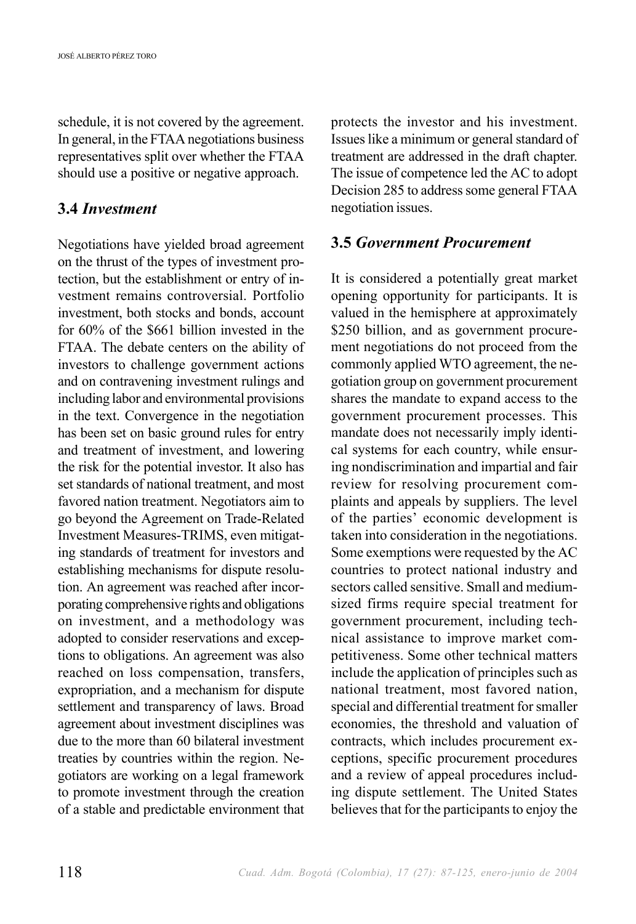schedule, it is not covered by the agreement. In general, in the FTAA negotiations business representatives split over whether the FTAA should use a positive or negative approach.

## **3.4** *Investment*

Negotiations have yielded broad agreement on the thrust of the types of investment protection, but the establishment or entry of investment remains controversial. Portfolio investment, both stocks and bonds, account for 60% of the \$661 billion invested in the FTAA. The debate centers on the ability of investors to challenge government actions and on contravening investment rulings and including labor and environmental provisions in the text. Convergence in the negotiation has been set on basic ground rules for entry and treatment of investment, and lowering the risk for the potential investor. It also has set standards of national treatment, and most favored nation treatment. Negotiators aim to go beyond the Agreement on Trade-Related Investment Measures-TRIMS, even mitigating standards of treatment for investors and establishing mechanisms for dispute resolution. An agreement was reached after incorporating comprehensive rights and obligations on investment, and a methodology was adopted to consider reservations and exceptions to obligations. An agreement was also reached on loss compensation, transfers, expropriation, and a mechanism for dispute settlement and transparency of laws. Broad agreement about investment disciplines was due to the more than 60 bilateral investment treaties by countries within the region. Negotiators are working on a legal framework to promote investment through the creation of a stable and predictable environment that protects the investor and his investment. Issues like a minimum or general standard of treatment are addressed in the draft chapter. The issue of competence led the AC to adopt Decision 285 to address some general FTAA negotiation issues.

## **3.5** *Government Procurement*

It is considered a potentially great market opening opportunity for participants. It is valued in the hemisphere at approximately \$250 billion, and as government procurement negotiations do not proceed from the commonly applied WTO agreement, the negotiation group on government procurement shares the mandate to expand access to the government procurement processes. This mandate does not necessarily imply identical systems for each country, while ensuring nondiscrimination and impartial and fair review for resolving procurement complaints and appeals by suppliers. The level of the parties' economic development is taken into consideration in the negotiations. Some exemptions were requested by the AC countries to protect national industry and sectors called sensitive. Small and mediumsized firms require special treatment for government procurement, including technical assistance to improve market competitiveness. Some other technical matters include the application of principles such as national treatment, most favored nation, special and differential treatment for smaller economies, the threshold and valuation of contracts, which includes procurement exceptions, specific procurement procedures and a review of appeal procedures including dispute settlement. The United States believes that for the participants to enjoy the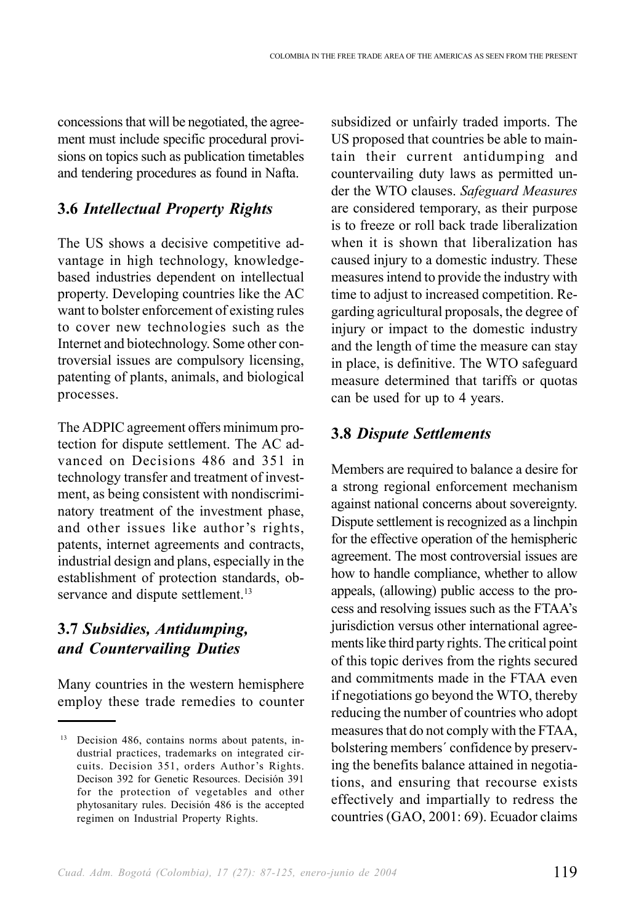concessions that will be negotiated, the agreement must include specific procedural provisions on topics such as publication timetables and tendering procedures as found in Nafta.

## **3.6** *Intellectual Property Rights*

The US shows a decisive competitive advantage in high technology, knowledgebased industries dependent on intellectual property. Developing countries like the AC want to bolster enforcement of existing rules to cover new technologies such as the Internet and biotechnology. Some other controversial issues are compulsory licensing, patenting of plants, animals, and biological processes.

The ADPIC agreement offers minimum protection for dispute settlement. The AC advanced on Decisions 486 and 351 in technology transfer and treatment of investment, as being consistent with nondiscriminatory treatment of the investment phase, and other issues like author's rights, patents, internet agreements and contracts, industrial design and plans, especially in the establishment of protection standards, observance and dispute settlement.<sup>13</sup>

# **3.7** *Subsidies, Antidumping, and Countervailing Duties*

Many countries in the western hemisphere employ these trade remedies to counter subsidized or unfairly traded imports. The US proposed that countries be able to maintain their current antidumping and countervailing duty laws as permitted under the WTO clauses. *Safeguard Measures* are considered temporary, as their purpose is to freeze or roll back trade liberalization when it is shown that liberalization has caused injury to a domestic industry. These measures intend to provide the industry with time to adjust to increased competition. Regarding agricultural proposals, the degree of injury or impact to the domestic industry and the length of time the measure can stay in place, is definitive. The WTO safeguard measure determined that tariffs or quotas can be used for up to 4 years.

# **3.8** *Dispute Settlements*

Members are required to balance a desire for a strong regional enforcement mechanism against national concerns about sovereignty. Dispute settlement is recognized as a linchpin for the effective operation of the hemispheric agreement. The most controversial issues are how to handle compliance, whether to allow appeals, (allowing) public access to the process and resolving issues such as the FTAA's jurisdiction versus other international agreements like third party rights. The critical point of this topic derives from the rights secured and commitments made in the FTAA even if negotiations go beyond the WTO, thereby reducing the number of countries who adopt measures that do not comply with the FTAA, bolstering members´ confidence by preserving the benefits balance attained in negotiations, and ensuring that recourse exists effectively and impartially to redress the countries (GAO, 2001: 69). Ecuador claims

<sup>13</sup> Decision 486, contains norms about patents, industrial practices, trademarks on integrated circuits. Decision 351, orders Author's Rights. Decison 392 for Genetic Resources. Decisión 391 for the protection of vegetables and other phytosanitary rules. Decisión 486 is the accepted regimen on Industrial Property Rights.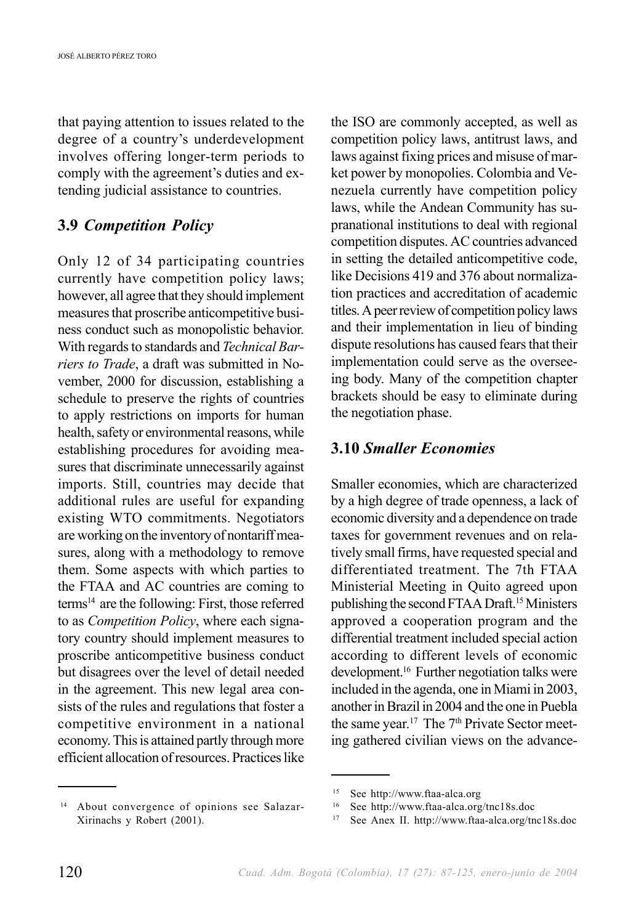that paying attention to issues related to the degree of a country's underdevelopment involves offering longer-term periods to comply with the agreement's duties and extending judicial assistance to countries.

## **3.9** *Competition Policy*

Only 12 of 34 participating countries currently have competition policy laws; however, all agree that they should implement measures that proscribe anticompetitive business conduct such as monopolistic behavior. With regards to standards and *Technical Barriers to Trade*, a draft was submitted in November, 2000 for discussion, establishing a schedule to preserve the rights of countries to apply restrictions on imports for human health, safety or environmental reasons, while establishing procedures for avoiding measures that discriminate unnecessarily against imports. Still, countries may decide that additional rules are useful for expanding existing WTO commitments. Negotiators are working on the inventory of nontariff measures, along with a methodology to remove them. Some aspects with which parties to the FTAA and AC countries are coming to terms14 are the following: First, those referred to as *Competition Policy*, where each signatory country should implement measures to proscribe anticompetitive business conduct but disagrees over the level of detail needed in the agreement. This new legal area consists of the rules and regulations that foster a competitive environment in a national economy. This is attained partly through more efficient allocation of resources. Practices like the ISO are commonly accepted, as well as competition policy laws, antitrust laws, and laws against fixing prices and misuse of market power by monopolies. Colombia and Venezuela currently have competition policy laws, while the Andean Community has supranational institutions to deal with regional competition disputes. AC countries advanced in setting the detailed anticompetitive code, like Decisions 419 and 376 about normalization practices and accreditation of academic titles. A peer review of competition policy laws and their implementation in lieu of binding dispute resolutions has caused fears that their implementation could serve as the overseeing body. Many of the competition chapter brackets should be easy to eliminate during the negotiation phase.

## **3.10** *Smaller Economies*

Smaller economies, which are characterized by a high degree of trade openness, a lack of economic diversity and a dependence on trade taxes for government revenues and on relatively small firms, have requested special and differentiated treatment. The 7th FTAA Ministerial Meeting in Quito agreed upon publishing the second FTAA Draft.<sup>15</sup> Ministers approved a cooperation program and the differential treatment included special action according to different levels of economic development.16 Further negotiation talks were included in the agenda, one in Miami in 2003, another in Brazil in 2004 and the one in Puebla the same year.<sup>17</sup> The  $7<sup>th</sup>$  Private Sector meeting gathered civilian views on the advance-

<sup>14</sup> About convergence of opinions see Salazar-Xirinachs y Robert (2001).

<sup>15</sup> See http://www.ftaa-alca.org

<sup>16</sup> See http://www.ftaa-alca.org/tnc18s.doc

<sup>17</sup> See Anex II. http://www.ftaa-alca.org/tnc18s.doc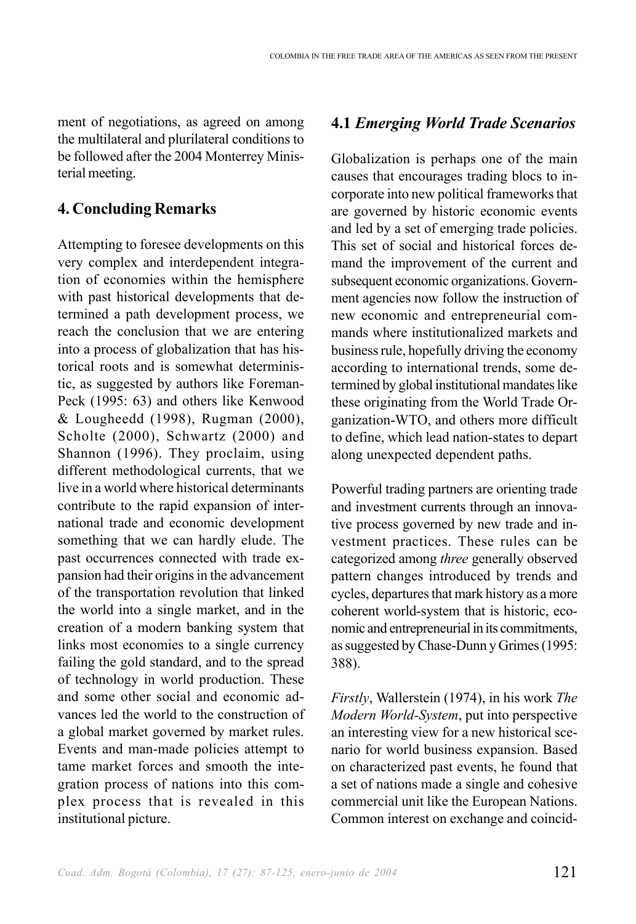ment of negotiations, as agreed on among the multilateral and plurilateral conditions to be followed after the 2004 Monterrey Ministerial meeting.

#### **4. Concluding Remarks**

Attempting to foresee developments on this very complex and interdependent integration of economies within the hemisphere with past historical developments that determined a path development process, we reach the conclusion that we are entering into a process of globalization that has historical roots and is somewhat deterministic, as suggested by authors like Foreman-Peck (1995: 63) and others like Kenwood & Lougheedd (1998), Rugman (2000), Scholte (2000), Schwartz (2000) and Shannon (1996). They proclaim, using different methodological currents, that we live in a world where historical determinants contribute to the rapid expansion of international trade and economic development something that we can hardly elude. The past occurrences connected with trade expansion had their origins in the advancement of the transportation revolution that linked the world into a single market, and in the creation of a modern banking system that links most economies to a single currency failing the gold standard, and to the spread of technology in world production. These and some other social and economic advances led the world to the construction of a global market governed by market rules. Events and man-made policies attempt to tame market forces and smooth the integration process of nations into this complex process that is revealed in this institutional picture.

#### **4.1** *Emerging World Trade Scenarios*

Globalization is perhaps one of the main causes that encourages trading blocs to incorporate into new political frameworks that are governed by historic economic events and led by a set of emerging trade policies. This set of social and historical forces demand the improvement of the current and subsequent economic organizations. Government agencies now follow the instruction of new economic and entrepreneurial commands where institutionalized markets and business rule, hopefully driving the economy according to international trends, some determined by global institutional mandates like these originating from the World Trade Organization-WTO, and others more difficult to define, which lead nation-states to depart along unexpected dependent paths.

Powerful trading partners are orienting trade and investment currents through an innovative process governed by new trade and investment practices. These rules can be categorized among *three* generally observed pattern changes introduced by trends and cycles, departures that mark history as a more coherent world-system that is historic, economic and entrepreneurial in its commitments, as suggested by Chase-Dunn y Grimes (1995: 388).

*Firstly*, Wallerstein (1974), in his work *The Modern World-System*, put into perspective an interesting view for a new historical scenario for world business expansion. Based on characterized past events, he found that a set of nations made a single and cohesive commercial unit like the European Nations. Common interest on exchange and coincid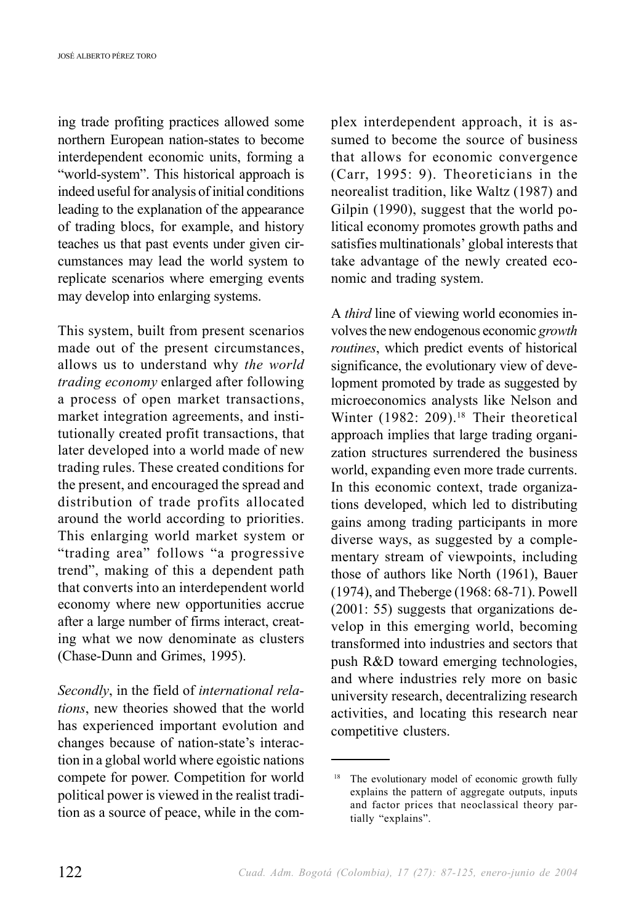ing trade profiting practices allowed some northern European nation-states to become interdependent economic units, forming a "world-system". This historical approach is indeed useful for analysis of initial conditions leading to the explanation of the appearance of trading blocs, for example, and history teaches us that past events under given circumstances may lead the world system to replicate scenarios where emerging events may develop into enlarging systems.

This system, built from present scenarios made out of the present circumstances, allows us to understand why *the world trading economy* enlarged after following a process of open market transactions, market integration agreements, and institutionally created profit transactions, that later developed into a world made of new trading rules. These created conditions for the present, and encouraged the spread and distribution of trade profits allocated around the world according to priorities. This enlarging world market system or "trading area" follows "a progressive trend", making of this a dependent path that converts into an interdependent world economy where new opportunities accrue after a large number of firms interact, creating what we now denominate as clusters (Chase-Dunn and Grimes, 1995).

*Secondly*, in the field of *international relations*, new theories showed that the world has experienced important evolution and changes because of nation-state's interaction in a global world where egoistic nations compete for power. Competition for world political power is viewed in the realist tradition as a source of peace, while in the complex interdependent approach, it is assumed to become the source of business that allows for economic convergence (Carr, 1995: 9). Theoreticians in the neorealist tradition, like Waltz (1987) and Gilpin (1990), suggest that the world political economy promotes growth paths and satisfies multinationals' global interests that take advantage of the newly created economic and trading system.

A *third* line of viewing world economies involves the new endogenous economic *growth routines*, which predict events of historical significance, the evolutionary view of development promoted by trade as suggested by microeconomics analysts like Nelson and Winter (1982: 209).<sup>18</sup> Their theoretical approach implies that large trading organization structures surrendered the business world, expanding even more trade currents. In this economic context, trade organizations developed, which led to distributing gains among trading participants in more diverse ways, as suggested by a complementary stream of viewpoints, including those of authors like North (1961), Bauer (1974), and Theberge (1968: 68-71). Powell (2001: 55) suggests that organizations develop in this emerging world, becoming transformed into industries and sectors that push R&D toward emerging technologies, and where industries rely more on basic university research, decentralizing research activities, and locating this research near competitive clusters.

<sup>&</sup>lt;sup>18</sup> The evolutionary model of economic growth fully explains the pattern of aggregate outputs, inputs and factor prices that neoclassical theory partially "explains".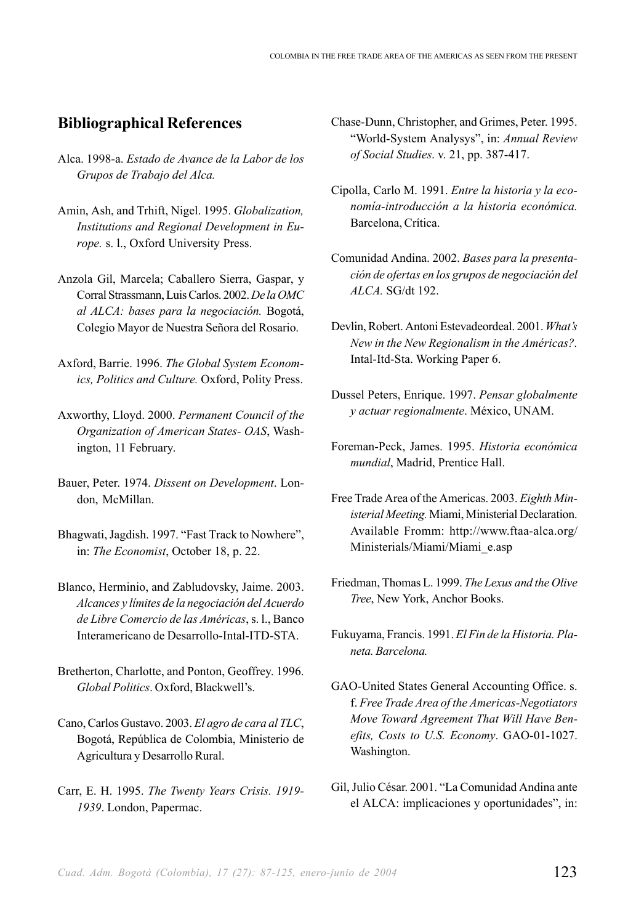#### **Bibliographical References**

- Alca. 1998-a. *Estado de Avance de la Labor de los Grupos de Trabajo del Alca.*
- Amin, Ash, and Trhift, Nigel. 1995. *Globalization, Institutions and Regional Development in Europe.* s. l., Oxford University Press.
- Anzola Gil, Marcela; Caballero Sierra, Gaspar, y Corral Strassmann, Luis Carlos. 2002. *De la OMC al ALCA: bases para la negociación.* Bogotá, Colegio Mayor de Nuestra Señora del Rosario.
- Axford, Barrie. 1996. *The Global System Economics, Politics and Culture.* Oxford, Polity Press.
- Axworthy, Lloyd. 2000. *Permanent Council of the Organization of American States- OAS*, Washington, 11 February.
- Bauer, Peter. 1974. *Dissent on Development*. London, McMillan.
- Bhagwati, Jagdish. 1997. "Fast Track to Nowhere", in: *The Economist*, October 18, p. 22.
- Blanco, Herminio, and Zabludovsky, Jaime. 2003. *Alcances y límites de la negociación del Acuerdo de Libre Comercio de las Américas*, s. l., Banco Interamericano de Desarrollo-Intal-ITD-STA.
- Bretherton, Charlotte, and Ponton, Geoffrey. 1996. *Global Politics*. Oxford, Blackwell's.
- Cano, Carlos Gustavo. 2003. *El agro de cara al TLC*, Bogotá, República de Colombia, Ministerio de Agricultura y Desarrollo Rural.
- Carr, E. H. 1995. *The Twenty Years Crisis. 1919- 1939*. London, Papermac.
- Chase-Dunn, Christopher, and Grimes, Peter. 1995. "World-System Analysys", in: *Annual Review of Social Studies*. v. 21, pp. 387-417.
- Cipolla, Carlo M. 1991. *Entre la historia y la economía-introducción a la historia económica.* Barcelona, Crítica.
- Comunidad Andina. 2002. *Bases para la presentación de ofertas en los grupos de negociación del ALCA.* SG/dt 192.
- Devlin, Robert. Antoni Estevadeordeal. 2001. *What's New in the New Regionalism in the Américas?.* Intal-Itd-Sta. Working Paper 6.
- Dussel Peters, Enrique. 1997. *Pensar globalmente y actuar regionalmente*. México, UNAM.
- Foreman-Peck, James. 1995. *Historia económica mundial*, Madrid, Prentice Hall.
- Free Trade Area of the Americas. 2003. *Eighth Ministerial Meeting.* Miami, Ministerial Declaration. Available Fromm: http://www.ftaa-alca.org/ Ministerials/Miami/Miami\_e.asp
- Friedman, Thomas L. 1999. *The Lexus and the Olive Tree*, New York, Anchor Books.
- Fukuyama, Francis. 1991. *El Fin de la Historia. Planeta. Barcelona.*
- GAO-United States General Accounting Office. s. f. *Free Trade Area of the Americas-Negotiators Move Toward Agreement That Will Have Benefits, Costs to U.S. Economy*. GAO-01-1027. Washington.
- Gil, Julio César. 2001. "La Comunidad Andina ante el ALCA: implicaciones y oportunidades", in: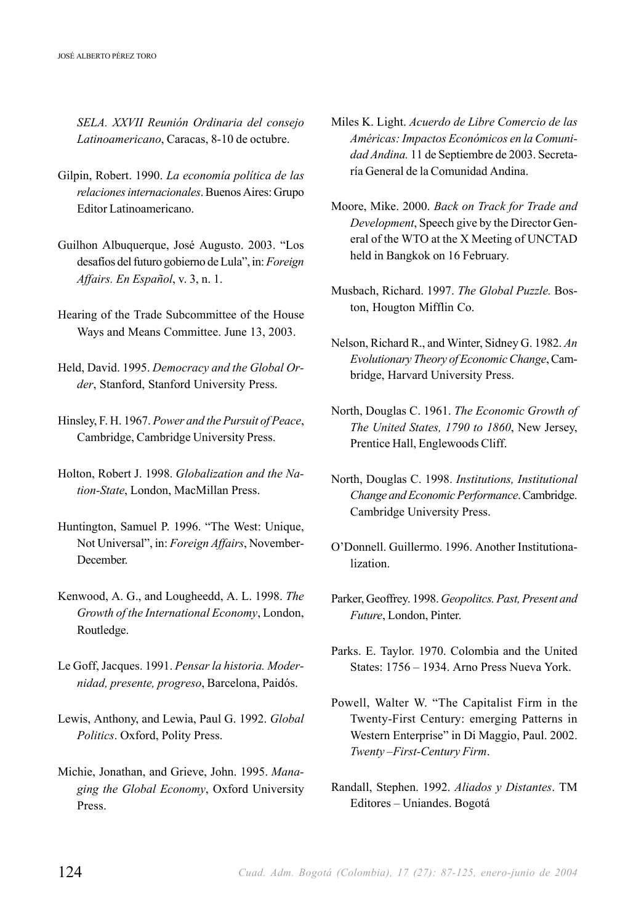*SELA. XXVII Reunión Ordinaria del consejo Latinoamericano*, Caracas, 8-10 de octubre.

- Gilpin, Robert. 1990. *La economía política de las relaciones internacionales*. Buenos Aires: Grupo Editor Latinoamericano.
- Guilhon Albuquerque, José Augusto. 2003. "Los desafíos del futuro gobierno de Lula", in: *Foreign Affairs. En Español*, v. 3, n. 1.
- Hearing of the Trade Subcommittee of the House Ways and Means Committee. June 13, 2003.
- Held, David. 1995. *Democracy and the Global Order*, Stanford, Stanford University Press.
- Hinsley, F. H. 1967. *Power and the Pursuit of Peace*, Cambridge, Cambridge University Press.
- Holton, Robert J. 1998. *Globalization and the Nation-State*, London, MacMillan Press.
- Huntington, Samuel P. 1996. "The West: Unique, Not Universal", in: *Foreign Affairs*, November-December.
- Kenwood, A. G., and Lougheedd, A. L. 1998. *The Growth of the International Economy*, London, Routledge.
- Le Goff, Jacques. 1991. *Pensar la historia. Modernidad, presente, progreso*, Barcelona, Paidós.
- Lewis, Anthony, and Lewia, Paul G. 1992. *Global Politics*. Oxford, Polity Press.
- Michie, Jonathan, and Grieve, John. 1995. *Managing the Global Economy*, Oxford University Press.
- Miles K. Light. *Acuerdo de Libre Comercio de las Américas: Impactos Económicos en la Comunidad Andina.* 11 de Septiembre de 2003. Secretaría General de la Comunidad Andina.
- Moore, Mike. 2000. *Back on Track for Trade and Development*, Speech give by the Director General of the WTO at the X Meeting of UNCTAD held in Bangkok on 16 February.
- Musbach, Richard. 1997. *The Global Puzzle.* Boston, Hougton Mifflin Co.
- Nelson, Richard R., and Winter, Sidney G. 1982. *An Evolutionary Theory of Economic Change*, Cambridge, Harvard University Press.
- North, Douglas C. 1961. *The Economic Growth of The United States, 1790 to 1860*, New Jersey, Prentice Hall, Englewoods Cliff.
- North, Douglas C. 1998. *Institutions, Institutional Change and Economic Performance*. Cambridge. Cambridge University Press.
- O'Donnell. Guillermo. 1996. Another Institutionalization.
- Parker, Geoffrey. 1998. *Geopolitcs. Past, Present and Future*, London, Pinter.
- Parks. E. Taylor. 1970. Colombia and the United States: 1756 – 1934. Arno Press Nueva York.
- Powell, Walter W. "The Capitalist Firm in the Twenty-First Century: emerging Patterns in Western Enterprise" in Di Maggio, Paul. 2002. *Twenty –First-Century Firm*.
- Randall, Stephen. 1992. *Aliados y Distantes*. TM Editores – Uniandes. Bogotá